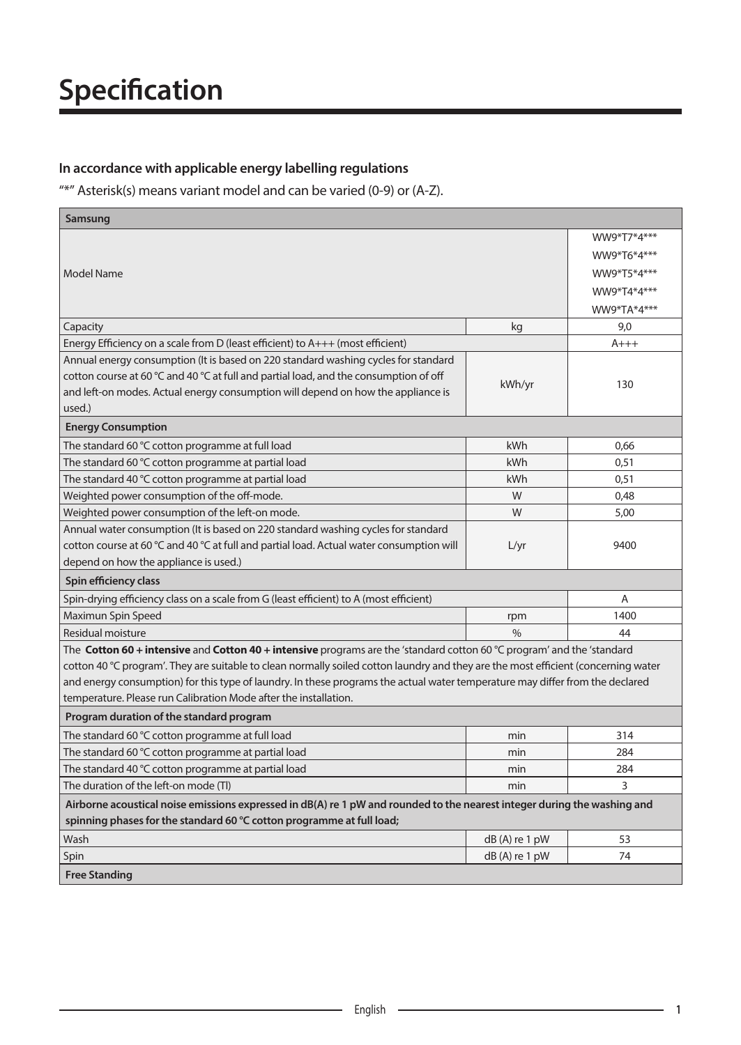### In accordance with applicable energy labelling regulations

"\*" Asterisk(s) means variant model and can be varied (0-9) or (A-Z).

| Samsung                                                                                                                            |                 |             |
|------------------------------------------------------------------------------------------------------------------------------------|-----------------|-------------|
|                                                                                                                                    |                 | WW9*T7*4*** |
|                                                                                                                                    |                 | WW9*T6*4*** |
| Model Name                                                                                                                         |                 | WW9*T5*4*** |
|                                                                                                                                    |                 | WW9*T4*4*** |
|                                                                                                                                    |                 | WW9*TA*4*** |
| Capacity                                                                                                                           | kg              | 9,0         |
| Energy Efficiency on a scale from D (least efficient) to $A++$ (most efficient)                                                    |                 | $A+++$      |
| Annual energy consumption (It is based on 220 standard washing cycles for standard                                                 |                 |             |
| cotton course at 60 $\degree$ C and 40 $\degree$ C at full and partial load, and the consumption of off                            |                 |             |
| and left-on modes. Actual energy consumption will depend on how the appliance is                                                   | kWh/yr          | 130         |
| used.)                                                                                                                             |                 |             |
| <b>Energy Consumption</b>                                                                                                          |                 |             |
| The standard 60 °C cotton programme at full load                                                                                   | kWh             | 0,66        |
| The standard 60 °C cotton programme at partial load                                                                                | kWh             | 0,51        |
| The standard 40 °C cotton programme at partial load                                                                                | kWh             | 0,51        |
| Weighted power consumption of the off-mode.                                                                                        | W               | 0,48        |
| Weighted power consumption of the left-on mode.                                                                                    | W               | 5,00        |
| Annual water consumption (It is based on 220 standard washing cycles for standard                                                  |                 |             |
| cotton course at 60 °C and 40 °C at full and partial load. Actual water consumption will                                           | L/yr            | 9400        |
| depend on how the appliance is used.)                                                                                              |                 |             |
| Spin efficiency class                                                                                                              |                 |             |
| Spin-drying efficiency class on a scale from G (least efficient) to A (most efficient)                                             |                 | A           |
| Maximun Spin Speed                                                                                                                 | rpm             | 1400        |
| Residual moisture                                                                                                                  | $\%$            | 44          |
| The Cotton 60 + intensive and Cotton 40 + intensive programs are the 'standard cotton 60 °C program' and the 'standard             |                 |             |
| cotton 40 °C program'. They are suitable to clean normally soiled cotton laundry and they are the most efficient (concerning water |                 |             |
| and energy consumption) for this type of laundry. In these programs the actual water temperature may differ from the declared      |                 |             |
| temperature. Please run Calibration Mode after the installation.                                                                   |                 |             |
| Program duration of the standard program                                                                                           |                 |             |
| The standard 60 °C cotton programme at full load                                                                                   | min             | 314         |
| The standard 60 °C cotton programme at partial load                                                                                | min             | 284         |
| The standard 40 °C cotton programme at partial load                                                                                | min             | 284         |
| The duration of the left-on mode (TI)                                                                                              | min             | 3           |
| Airborne acoustical noise emissions expressed in dB(A) re 1 pW and rounded to the nearest integer during the washing and           |                 |             |
| spinning phases for the standard 60 °C cotton programme at full load;                                                              |                 |             |
| Wash                                                                                                                               | dB(A) re 1 pW   | 53          |
| Spin                                                                                                                               | $dB(A)$ re 1 pW | 74          |
| <b>Free Standing</b>                                                                                                               |                 |             |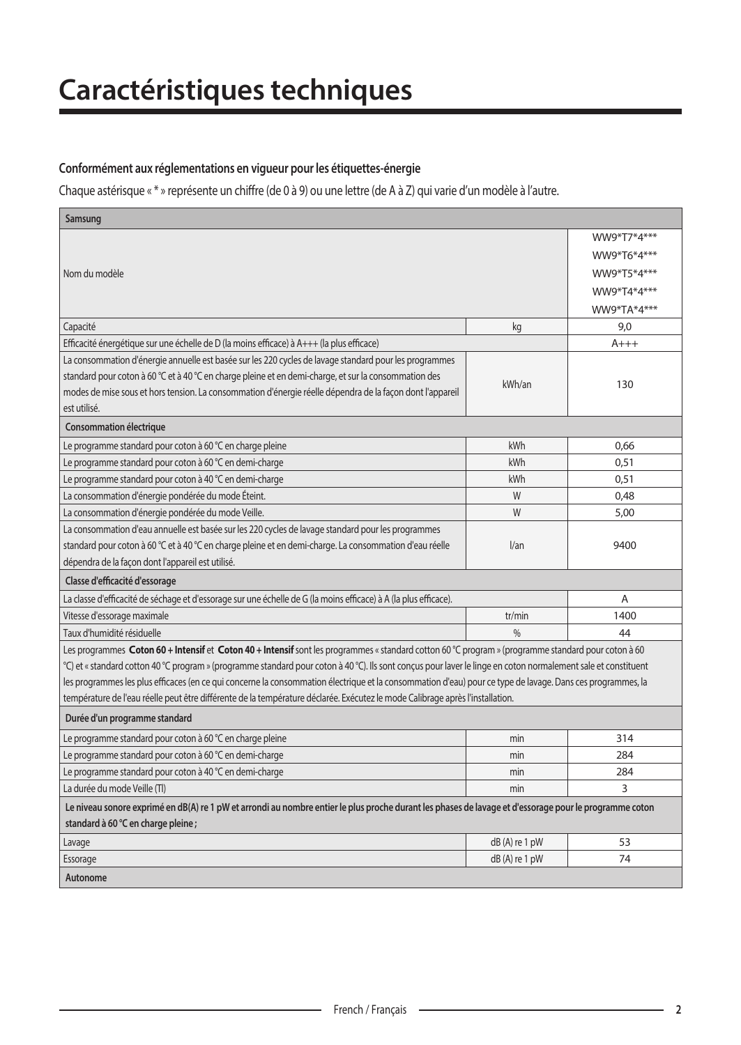#### **Conformément aux réglementations en vigueur pour les étiquettes-énergie**

Chaque astérisque « \* » représente un chiffre (de 0 à 9) ou une lettre (de A à Z) qui varie d'un modèle à l'autre.

| Samsung                                                                                                                                                       |                 |             |
|---------------------------------------------------------------------------------------------------------------------------------------------------------------|-----------------|-------------|
|                                                                                                                                                               |                 | WW9*T7*4*** |
|                                                                                                                                                               |                 | WW9*T6*4*** |
| Nom du modèle                                                                                                                                                 |                 | WW9*T5*4*** |
|                                                                                                                                                               |                 | WW9*T4*4*** |
|                                                                                                                                                               |                 | WW9*TA*4*** |
| Capacité                                                                                                                                                      | kg              | 9,0         |
| Efficacité énergétique sur une échelle de D (la moins efficace) à $A++$ (la plus efficace)                                                                    |                 | $A+++$      |
| La consommation d'énergie annuelle est basée sur les 220 cycles de lavage standard pour les programmes                                                        |                 |             |
| standard pour coton à 60 °C et à 40 °C en charge pleine et en demi-charge, et sur la consommation des                                                         | kWh/an          |             |
| modes de mise sous et hors tension. La consommation d'énergie réelle dépendra de la façon dont l'appareil                                                     |                 | 130         |
| est utilisé.                                                                                                                                                  |                 |             |
| Consommation électrique                                                                                                                                       |                 |             |
| Le programme standard pour coton à 60 °C en charge pleine                                                                                                     | kWh             | 0,66        |
| Le programme standard pour coton à 60 °C en demi-charge                                                                                                       | kWh             | 0,51        |
| Le programme standard pour coton à 40 °C en demi-charge                                                                                                       | kWh             | 0,51        |
| La consommation d'énergie pondérée du mode Éteint.                                                                                                            | W               | 0.48        |
| La consommation d'énergie pondérée du mode Veille.                                                                                                            | W               | 5,00        |
| La consommation d'eau annuelle est basée sur les 220 cycles de lavage standard pour les programmes                                                            |                 |             |
| standard pour coton à 60 °C et à 40 °C en charge pleine et en demi-charge. La consommation d'eau réelle                                                       | l/an            | 9400        |
| dépendra de la façon dont l'appareil est utilisé.                                                                                                             |                 |             |
| Classe d'efficacité d'essorage                                                                                                                                |                 |             |
| La classe d'efficacité de séchage et d'essorage sur une échelle de G (la moins efficace) à A (la plus efficace).                                              |                 | Α           |
| Vitesse d'essorage maximale                                                                                                                                   | tr/min          | 1400        |
| Taux d'humidité résiduelle                                                                                                                                    | $\frac{0}{0}$   | 44          |
| Les programmes Coton 60 + Intensif et Coton 40 + Intensif sont les programmes « standard cotton 60 °C program » (programme standard pour coton à 60           |                 |             |
| °C) et «standard cotton 40 °C program » (programme standard pour coton à 40 °C). Ils sont conçus pour laver le linge en coton normalement sale et constituent |                 |             |
| les programmes les plus efficaces (en ce qui concerne la consommation électrique et la consommation d'eau) pour ce type de lavage. Dans ces programmes, la    |                 |             |
| température de l'eau réelle peut être différente de la température déclarée. Exécutez le mode Calibrage après l'installation.                                 |                 |             |
| Durée d'un programme standard                                                                                                                                 |                 |             |
| Le programme standard pour coton à 60 °C en charge pleine                                                                                                     | min             | 314         |
| Le programme standard pour coton à 60 °C en demi-charge                                                                                                       | min             | 284         |
| Le programme standard pour coton à 40 °C en demi-charge                                                                                                       | min             | 284         |
| La durée du mode Veille (Tl)                                                                                                                                  | min             | 3           |
| Le niveau sonore exprimé en dB(A) re 1 pW et arrondi au nombre entier le plus proche durant les phases de lavage et d'essorage pour le programme coton        |                 |             |
| standard à 60 °C en charge pleine ;                                                                                                                           |                 |             |
| Lavage                                                                                                                                                        | $dB(A)$ re 1 pW | 53          |
| Essorage                                                                                                                                                      | $dB(A)$ re 1 pW | 74          |
| Autonome                                                                                                                                                      |                 |             |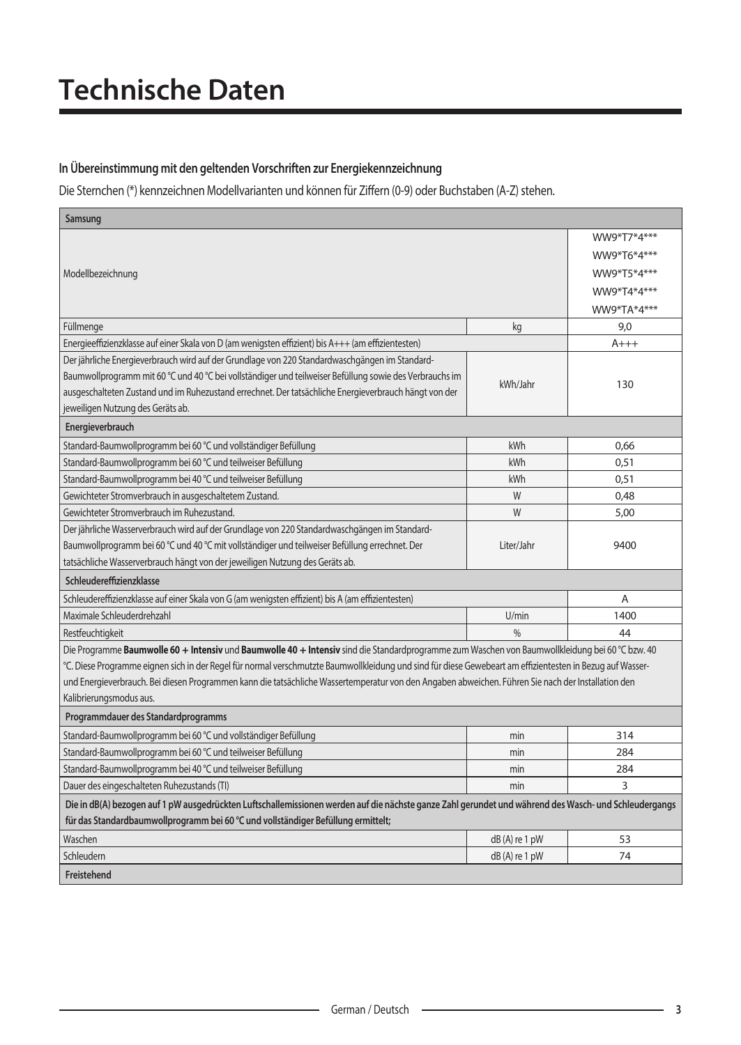# **Technische Daten**

### In Übereinstimmung mit den geltenden Vorschriften zur Energiekennzeichnung

Die Sternchen (\*) kennzeichnen Modellvarianten und können für Ziffern (0-9) oder Buchstaben (A-Z) stehen.

| Samsung                                                                                                                                                   |                 |             |
|-----------------------------------------------------------------------------------------------------------------------------------------------------------|-----------------|-------------|
|                                                                                                                                                           |                 | WW9*T7*4*** |
|                                                                                                                                                           |                 | WW9*T6*4*** |
| Modellbezeichnung                                                                                                                                         |                 | WW9*T5*4*** |
|                                                                                                                                                           |                 | WW9*T4*4*** |
|                                                                                                                                                           |                 | WW9*TA*4*** |
| Füllmenge                                                                                                                                                 | kg              | 9,0         |
| Energieeffizienzklasse auf einer Skala von D (am wenigsten effizient) bis A+++ (am effizientesten)                                                        |                 | $A+++$      |
| Der jährliche Energieverbrauch wird auf der Grundlage von 220 Standardwaschgängen im Standard-                                                            |                 |             |
| Baumwollprogramm mit 60 °C und 40 °C bei vollständiger und teilweiser Befüllung sowie des Verbrauchs im                                                   |                 |             |
| ausgeschalteten Zustand und im Ruhezustand errechnet. Der tatsächliche Energieverbrauch hängt von der                                                     | kWh/Jahr        | 130         |
| jeweiligen Nutzung des Geräts ab.                                                                                                                         |                 |             |
| Energieverbrauch                                                                                                                                          |                 |             |
| Standard-Baumwollprogramm bei 60 °C und vollständiger Befüllung                                                                                           | kWh             | 0.66        |
| Standard-Baumwollprogramm bei 60 °C und teilweiser Befüllung                                                                                              | kWh             | 0,51        |
| Standard-Baumwollprogramm bei 40 °C und teilweiser Befüllung                                                                                              | kWh             | 0.51        |
| Gewichteter Stromverbrauch in ausgeschaltetem Zustand.                                                                                                    | W               | 0,48        |
| Gewichteter Stromverbrauch im Ruhezustand.                                                                                                                | W               | 5,00        |
| Der jährliche Wasserverbrauch wird auf der Grundlage von 220 Standardwaschgängen im Standard-                                                             |                 |             |
| Baumwollprogramm bei 60 °C und 40 °C mit vollständiger und teilweiser Befüllung errechnet. Der                                                            | Liter/Jahr      | 9400        |
| tatsächliche Wasserverbrauch hängt von der jeweiligen Nutzung des Geräts ab.                                                                              |                 |             |
| Schleudereffizienzklasse                                                                                                                                  |                 |             |
| Schleudereffizienzklasse auf einer Skala von G (am wenigsten effizient) bis A (am effizientesten)                                                         |                 | A           |
| Maximale Schleuderdrehzahl                                                                                                                                | U/min           | 1400        |
| Restfeuchtigkeit                                                                                                                                          | $\frac{9}{0}$   | 44          |
| Die Programme Baumwolle 60 + Intensiv und Baumwolle 40 + Intensiv sind die Standardprogramme zum Waschen von Baumwollkleidung bei 60 °C bzw. 40           |                 |             |
| °C. Diese Programme eignen sich in der Regel für normal verschmutzte Baumwollkleidung und sind für diese Gewebeart am effizientesten in Bezug auf Wasser- |                 |             |
| und Energieverbrauch. Bei diesen Programmen kann die tatsächliche Wassertemperatur von den Angaben abweichen. Führen Sie nach der Installation den        |                 |             |
| Kalibrierungsmodus aus.                                                                                                                                   |                 |             |
| Programmdauer des Standardprogramms                                                                                                                       |                 |             |
| Standard-Baumwollprogramm bei 60 °C und vollständiger Befüllung                                                                                           | min             | 314         |
| Standard-Baumwollprogramm bei 60 °C und teilweiser Befüllung                                                                                              | min             | 284         |
| Standard-Baumwollprogramm bei 40 °C und teilweiser Befüllung                                                                                              | min             | 284         |
| Dauer des eingeschalteten Ruhezustands (TI)                                                                                                               | min             | 3           |
| Die in dB(A) bezogen auf 1 pW ausgedrückten Luftschallemissionen werden auf die nächste ganze Zahl gerundet und während des Wasch- und Schleudergangs     |                 |             |
| für das Standardbaumwollprogramm bei 60 °C und vollständiger Befüllung ermittelt;                                                                         |                 |             |
| Waschen                                                                                                                                                   | $dB(A)$ re 1 pW | 53          |
| Schleudern                                                                                                                                                | $dB(A)$ re 1 pW | 74          |
| <b>Freistehend</b>                                                                                                                                        |                 |             |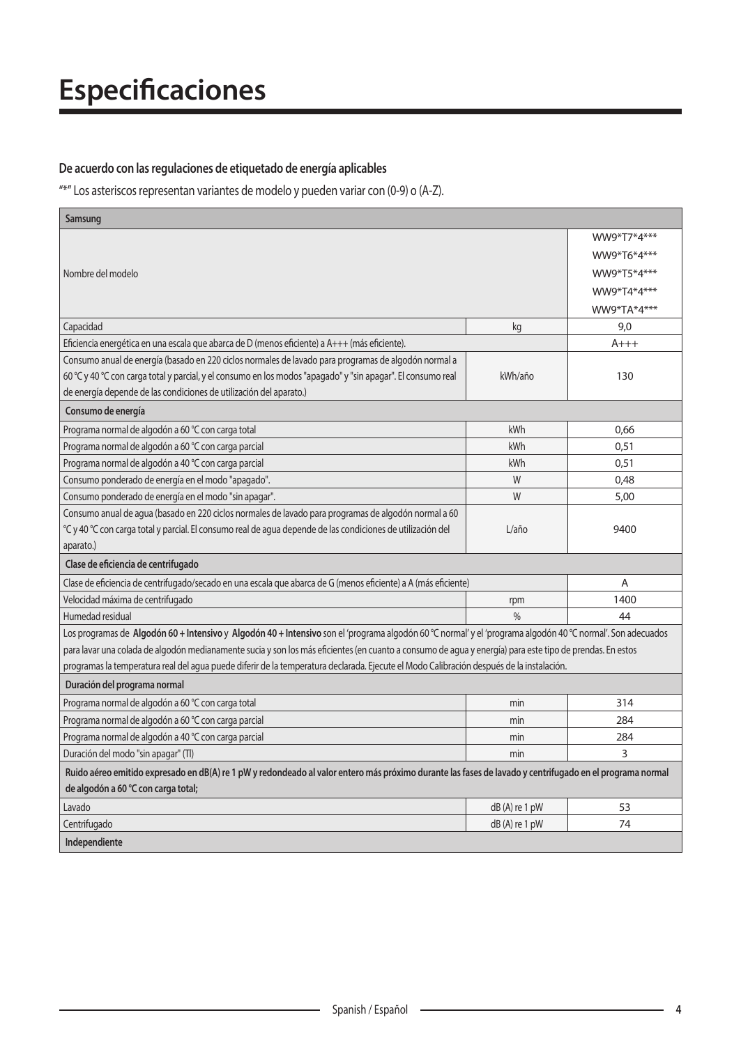# **Especificaciones**

### De acuerdo con las regulaciones de etiquetado de energía aplicables

 $\frac{4\pi}{3}$ " Los asteriscos representan variantes de modelo y pueden variar con (0-9) o (A-Z).

| Samsung                                                                                                                                                     |                  |             |
|-------------------------------------------------------------------------------------------------------------------------------------------------------------|------------------|-------------|
|                                                                                                                                                             |                  | WW9*T7*4*** |
|                                                                                                                                                             |                  | WW9*T6*4*** |
| Nombre del modelo                                                                                                                                           |                  | WW9*T5*4*** |
|                                                                                                                                                             |                  | WW9*T4*4*** |
|                                                                                                                                                             |                  | WW9*TA*4*** |
| Capacidad                                                                                                                                                   | kg               | 9,0         |
| Eficiencia energética en una escala que abarca de D (menos eficiente) a A+++ (más eficiente).                                                               |                  | A+++        |
| Consumo anual de energía (basado en 220 ciclos normales de lavado para programas de algodón normal a                                                        |                  |             |
| 60 °C y 40 °C con carga total y parcial, y el consumo en los modos "apagado" y "sin apagar". El consumo real                                                | kWh/año          | 130         |
| de energía depende de las condiciones de utilización del aparato.)                                                                                          |                  |             |
| Consumo de energía                                                                                                                                          |                  |             |
| Programa normal de algodón a 60 °C con carga total                                                                                                          | kWh              | 0,66        |
| Programa normal de algodón a 60 °C con carga parcial                                                                                                        | kWh              | 0.51        |
| Programa normal de algodón a 40 °C con carga parcial                                                                                                        | kWh              | 0.51        |
| Consumo ponderado de energía en el modo "apagado".                                                                                                          | W                | 0,48        |
| Consumo ponderado de energía en el modo "sin apagar".                                                                                                       | W                | 5,00        |
| Consumo anual de agua (basado en 220 ciclos normales de lavado para programas de algodón normal a 60                                                        |                  |             |
| °C y 40 °C con carga total y parcial. El consumo real de agua depende de las condiciones de utilización del                                                 | $L/a\tilde{n}$ o | 9400        |
| aparato.)                                                                                                                                                   |                  |             |
| Clase de eficiencia de centrifugado                                                                                                                         |                  |             |
| Clase de eficiencia de centrifugado/secado en una escala que abarca de G (menos eficiente) a A (más eficiente)                                              |                  | A           |
| Velocidad máxima de centrifugado                                                                                                                            | rpm              | 1400        |
| Humedad residual                                                                                                                                            | 0/2              | 44          |
| Los programas de Algodón 60 + Intensivo y Algodón 40 + Intensivo son el 'programa algodón 60 °C normal' y el 'programa algodón 40 °C normal'. Son adecuados |                  |             |
| para lavar una colada de algodón medianamente sucia y son los más eficientes (en cuanto a consumo de aqua y energía) para este tipo de prendas. En estos    |                  |             |
| programas la temperatura real del agua puede diferir de la temperatura declarada. Ejecute el Modo Calibración después de la instalación.                    |                  |             |
| Duración del programa normal                                                                                                                                |                  |             |
| Programa normal de algodón a 60 °C con carga total                                                                                                          | min              | 314         |
| Programa normal de algodón a 60 °C con carga parcial                                                                                                        | min              | 284         |
| Programa normal de algodón a 40 °C con carga parcial                                                                                                        | min              | 284         |
| Duración del modo "sin apagar" (Tl)                                                                                                                         | min              | 3           |
| Ruido aéreo emitido expresado en dB(A) re 1 pW y redondeado al valor entero más próximo durante las fases de lavado y centrifugado en el programa normal    |                  |             |
| de algodón a 60 °C con carga total;                                                                                                                         |                  |             |
| Lavado                                                                                                                                                      | dB(A) re 1 pW    | 53          |
| Centrifugado                                                                                                                                                | $dB(A)$ re 1 pW  | 74          |
| Independiente                                                                                                                                               |                  |             |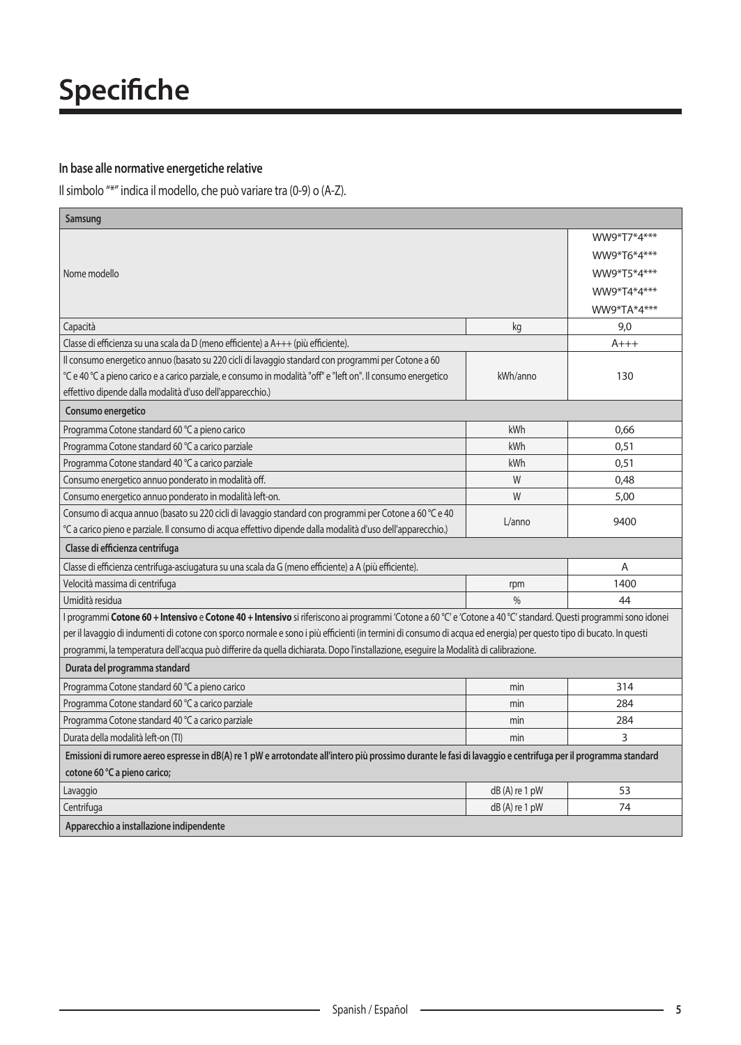#### In base alle normative energetiche relative

Il simbolo "\*" indica il modello, che può variare tra (0-9) o (A-Z).

| Samsung                                                                                                                                                            |                |             |
|--------------------------------------------------------------------------------------------------------------------------------------------------------------------|----------------|-------------|
|                                                                                                                                                                    |                | WW9*T7*4*** |
|                                                                                                                                                                    |                | WW9*T6*4*** |
| Nome modello                                                                                                                                                       |                | WW9*T5*4*** |
|                                                                                                                                                                    |                | WW9*T4*4*** |
|                                                                                                                                                                    |                | WW9*TA*4*** |
| Capacità                                                                                                                                                           | kg             | 9,0         |
| Classe di efficienza su una scala da D (meno efficiente) a A+++ (più efficiente).                                                                                  |                | $A+++$      |
| Il consumo energetico annuo (basato su 220 cicli di lavaggio standard con programmi per Cotone a 60                                                                |                |             |
| °C e 40 °C a pieno carico e a carico parziale, e consumo in modalità "off" e "left on". Il consumo energetico                                                      | kWh/anno       | 130         |
| effettivo dipende dalla modalità d'uso dell'apparecchio.)                                                                                                          |                |             |
| Consumo energetico                                                                                                                                                 |                |             |
| Programma Cotone standard 60 °C a pieno carico                                                                                                                     | kWh            | 0.66        |
| Programma Cotone standard 60 °C a carico parziale                                                                                                                  | kWh            | 0,51        |
| Programma Cotone standard 40 °C a carico parziale                                                                                                                  | kWh            | 0.51        |
| Consumo energetico annuo ponderato in modalità off.                                                                                                                | W              | 0.48        |
| Consumo energetico annuo ponderato in modalità left-on.                                                                                                            | W              | 5,00        |
| Consumo di acqua annuo (basato su 220 cicli di lavaggio standard con programmi per Cotone a 60 °C e 40                                                             | L/anno         | 9400        |
| °C a carico pieno e parziale. Il consumo di acqua effettivo dipende dalla modalità d'uso dell'apparecchio.)                                                        |                |             |
| Classe di efficienza centrifuga                                                                                                                                    |                |             |
| Classe di efficienza centrifuga-asciugatura su una scala da G (meno efficiente) a A (più efficiente).                                                              |                | A           |
| Velocità massima di centrifuga                                                                                                                                     | rpm            | 1400        |
| Umidità residua                                                                                                                                                    | $\frac{0}{0}$  | 44          |
| I programmi Cotone 60 + Intensivo e Cotone 40 + Intensivo si riferiscono ai programmi 'Cotone a 60 °C' e 'Cotone a 40 °C' standard. Questi programmi sono idonei   |                |             |
| per il lavaggio di indumenti di cotone con sporco normale e sono i più efficienti (in termini di consumo di acqua ed energia) per questo tipo di bucato. In questi |                |             |
| programmi, la temperatura dell'acqua può differire da quella dichiarata. Dopo l'installazione, eseguire la Modalità di calibrazione.                               |                |             |
| Durata del programma standard                                                                                                                                      |                |             |
| Programma Cotone standard 60 °C a pieno carico                                                                                                                     | min            | 314         |
| Programma Cotone standard 60 °C a carico parziale                                                                                                                  | min            | 284         |
| Programma Cotone standard 40 °C a carico parziale                                                                                                                  | min            | 284         |
| Durata della modalità left-on (TI)                                                                                                                                 | min            | 3           |
| Emissioni di rumore aereo espresse in dB(A) re 1 pW e arrotondate all'intero più prossimo durante le fasi di lavaggio e centrifuga per il programma standard       |                |             |
| cotone 60 °C a pieno carico;                                                                                                                                       |                |             |
| Lavaggio                                                                                                                                                           | dB(A) re 1 pW  | 53          |
| Centrifuga                                                                                                                                                         | dB (A) re 1 pW | 74          |
| Apparecchio a installazione indipendente                                                                                                                           |                |             |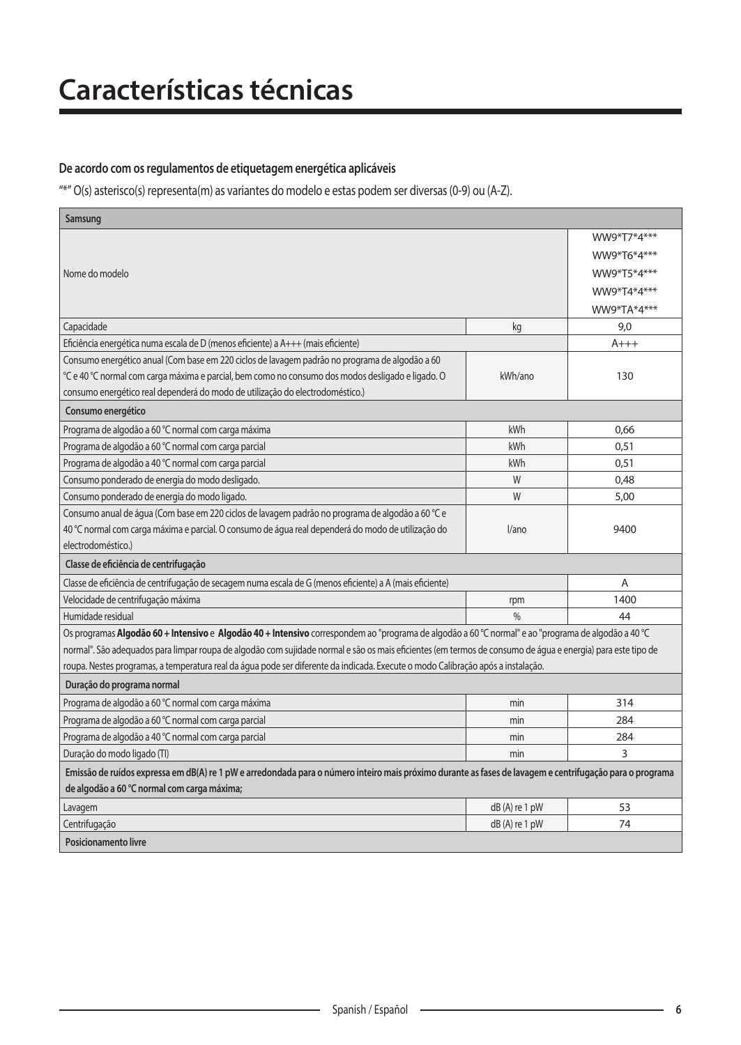### De acordo com os regulamentos de etiquetagem energética aplicáveis

 $\sqrt{a^*}$ " O(s) asterisco(s) representa(m) as variantes do modelo e estas podem ser diversas (0-9) ou (A-Z).

| Samsung                                                                                                                                                     |                 |             |
|-------------------------------------------------------------------------------------------------------------------------------------------------------------|-----------------|-------------|
|                                                                                                                                                             |                 | WW9*T7*4*** |
|                                                                                                                                                             |                 | WW9*T6*4*** |
| Nome do modelo                                                                                                                                              |                 | WW9*T5*4*** |
|                                                                                                                                                             |                 | WW9*T4*4*** |
|                                                                                                                                                             |                 | WW9*TA*4*** |
| Capacidade                                                                                                                                                  | kg              | 9,0         |
| Eficiência energética numa escala de D (menos eficiente) a A+++ (mais eficiente)                                                                            |                 | $A+++$      |
| Consumo energético anual (Com base em 220 ciclos de lavagem padrão no programa de algodão a 60                                                              |                 |             |
| °C e 40 °C normal com carga máxima e parcial, bem como no consumo dos modos desligado e ligado. O                                                           | kWh/ano         | 130         |
| consumo energético real dependerá do modo de utilização do electrodoméstico.)                                                                               |                 |             |
| Consumo energético                                                                                                                                          |                 |             |
| Programa de algodão a 60 °C normal com carga máxima                                                                                                         | kWh             | 0,66        |
| Programa de algodão a 60 °C normal com carga parcial                                                                                                        | kWh             | 0,51        |
| Programa de algodão a 40 °C normal com carga parcial                                                                                                        | kWh             | 0,51        |
| Consumo ponderado de energia do modo desligado.                                                                                                             | W               | 0,48        |
| Consumo ponderado de energia do modo ligado.                                                                                                                | W               | 5,00        |
| Consumo anual de água (Com base em 220 ciclos de lavagem padrão no programa de algodão a 60 °C e                                                            |                 |             |
| 40 °C normal com carga máxima e parcial. O consumo de água real dependerá do modo de utilização do                                                          | $l$ ano         | 9400        |
| electrodoméstico.)                                                                                                                                          |                 |             |
| Classe de eficiência de centrifugação                                                                                                                       |                 |             |
| Classe de eficiência de centrifugação de secagem numa escala de G (menos eficiente) a A (mais eficiente)                                                    |                 | A           |
| Velocidade de centrifugação máxima                                                                                                                          | rpm             | 1400        |
| Humidade residual                                                                                                                                           | $\frac{0}{6}$   | 44          |
| Os programas Algodão 60 + Intensivo e Algodão 40 + Intensivo correspondem ao "programa de algodão a 60 °C normal" e ao "programa de algodão a 40 °C         |                 |             |
| normal". São adequados para limpar roupa de algodão com sujidade normal e são os mais eficientes (em termos de consumo de áqua e energia) para este tipo de |                 |             |
| roupa. Nestes programas, a temperatura real da água pode ser diferente da indicada. Execute o modo Calibração após a instalação.                            |                 |             |
| Duração do programa normal                                                                                                                                  |                 |             |
| Programa de algodão a 60 °C normal com carga máxima                                                                                                         | min             | 314         |
| Programa de algodão a 60 °C normal com carga parcial                                                                                                        | min             | 284         |
| Programa de algodão a 40 °C normal com carga parcial                                                                                                        | min             | 284         |
| Duração do modo ligado (TI)                                                                                                                                 | min             | 3           |
| Emissão de ruídos expressa em dB(A) re 1 pW e arredondada para o número inteiro mais próximo durante as fases de lavagem e centrifugação para o programa    |                 |             |
| de algodão a 60 °C normal com carga máxima;                                                                                                                 |                 |             |
| Lavagem                                                                                                                                                     | $dB(A)$ re 1 pW | 53          |
| Centrifugação                                                                                                                                               | $dB(A)$ re 1 pW | 74          |
| Posicionamento livre                                                                                                                                        |                 |             |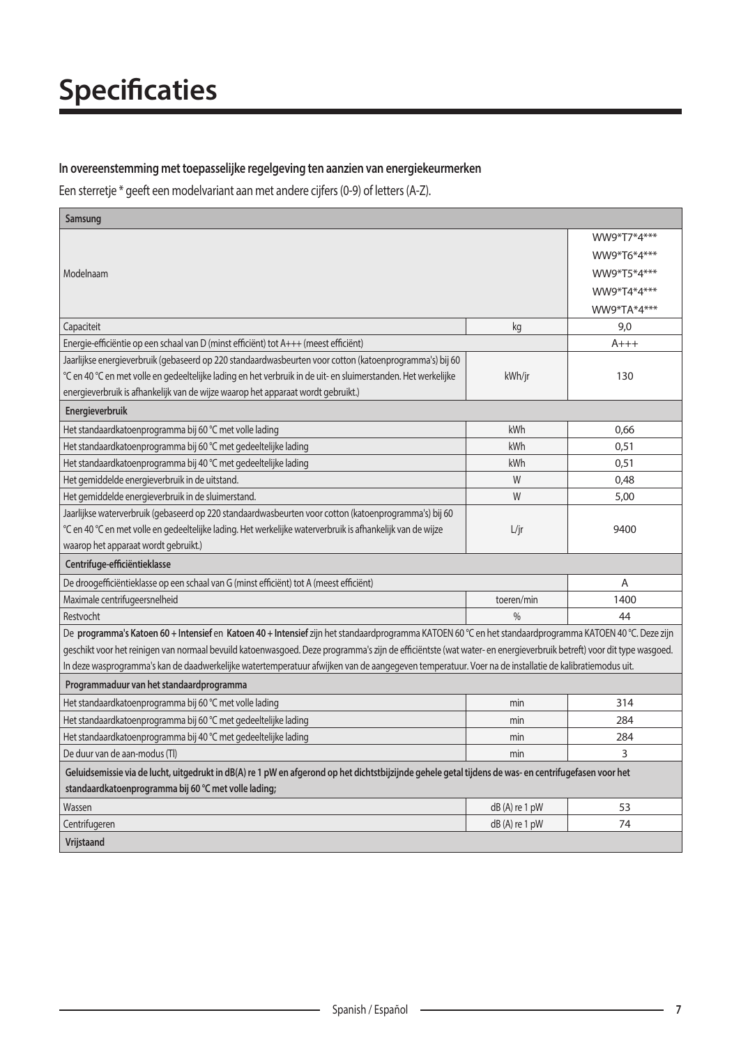#### In overeenstemming met toepasselijke regelgeving ten aanzien van energiekeurmerken

Een sterretje \* geeft een modelvariant aan met andere cijfers (0-9) of letters (A-Z).

| Samsung                                                                                                                                                            |                 |             |
|--------------------------------------------------------------------------------------------------------------------------------------------------------------------|-----------------|-------------|
|                                                                                                                                                                    |                 | WW9*T7*4*** |
|                                                                                                                                                                    |                 | WW9*T6*4*** |
| Modelnaam                                                                                                                                                          |                 | WW9*T5*4*** |
|                                                                                                                                                                    |                 | WW9*T4*4*** |
|                                                                                                                                                                    |                 | WW9*TA*4*** |
| Capaciteit                                                                                                                                                         | kg              | 9,0         |
| Energie-efficiëntie op een schaal van D (minst efficiënt) tot A+++ (meest efficiënt)                                                                               |                 | A+++        |
| Jaarlijkse energieverbruik (gebaseerd op 220 standaardwasbeurten voor cotton (katoenprogramma's) bij 60                                                            |                 |             |
| °C en 40 °C en met volle en gedeeltelijke lading en het verbruik in de uit- en sluimerstanden. Het werkelijke                                                      | kWh/jr          | 130         |
| energieverbruik is afhankelijk van de wijze waarop het apparaat wordt gebruikt.)                                                                                   |                 |             |
| Energieverbruik                                                                                                                                                    |                 |             |
| Het standaardkatoenprogramma bij 60 °C met volle lading                                                                                                            | kWh             | 0,66        |
| Het standaardkatoenprogramma bij 60 °C met gedeeltelijke lading                                                                                                    | kWh             | 0,51        |
| Het standaardkatoenprogramma bij 40 °C met gedeeltelijke lading                                                                                                    | kWh             | 0,51        |
| Het gemiddelde energieverbruik in de uitstand.                                                                                                                     | W               | 0,48        |
| Het gemiddelde energieverbruik in de sluimerstand.                                                                                                                 | W               | 5,00        |
| Jaarlijkse waterverbruik (gebaseerd op 220 standaardwasbeurten voor cotton (katoenprogramma's) bij 60                                                              |                 |             |
| °C en 40 °C en met volle en gedeeltelijke lading. Het werkelijke waterverbruik is afhankelijk van de wijze                                                         | L/ir            | 9400        |
| waarop het apparaat wordt gebruikt.)                                                                                                                               |                 |             |
| Centrifuge-efficiëntieklasse                                                                                                                                       |                 |             |
| De droogefficiëntieklasse op een schaal van G (minst efficiënt) tot A (meest efficiënt)                                                                            |                 | A           |
| Maximale centrifugeersnelheid                                                                                                                                      | toeren/min      | 1400        |
| Restvocht                                                                                                                                                          | 0/6             | 44          |
| De programma's Katoen 60 + Intensief en Katoen 40 + Intensief zijn het standaardprogramma KATOEN 60 °C en het standaardprogramma KATOEN 40 °C. Deze zijn           |                 |             |
| geschikt voor het reinigen van normaal bevuild katoenwasgoed. Deze programma's zijn de efficiëntste (wat water- en energieverbruik betreft) voor dit type wasgoed. |                 |             |
| In deze wasprogramma's kan de daadwerkelijke watertemperatuur afwijken van de aangegeven temperatuur. Voer na de installatie de kalibratiemodus uit.               |                 |             |
| Programmaduur van het standaardprogramma                                                                                                                           |                 |             |
| Het standaardkatoenprogramma bij 60 °C met volle lading                                                                                                            | min             | 314         |
| Het standaardkatoenprogramma bij 60 °C met gedeeltelijke lading                                                                                                    | min             | 284         |
| Het standaardkatoenprogramma bij 40 °C met gedeeltelijke lading                                                                                                    | min             | 284         |
| De duur van de aan-modus (TI)                                                                                                                                      | min             | 3           |
| Geluidsemissie via de lucht, uitgedrukt in dB(A) re 1 pW en afgerond op het dichtstbijzijnde gehele getal tijdens de was- en centrifugefasen voor het              |                 |             |
| standaardkatoenprogramma bij 60 °C met volle lading;                                                                                                               |                 |             |
| Wassen                                                                                                                                                             | $dB(A)$ re 1 pW | 53          |
| Centrifugeren                                                                                                                                                      | $dB(A)$ re 1 pW | 74          |
| Vrijstaand                                                                                                                                                         |                 |             |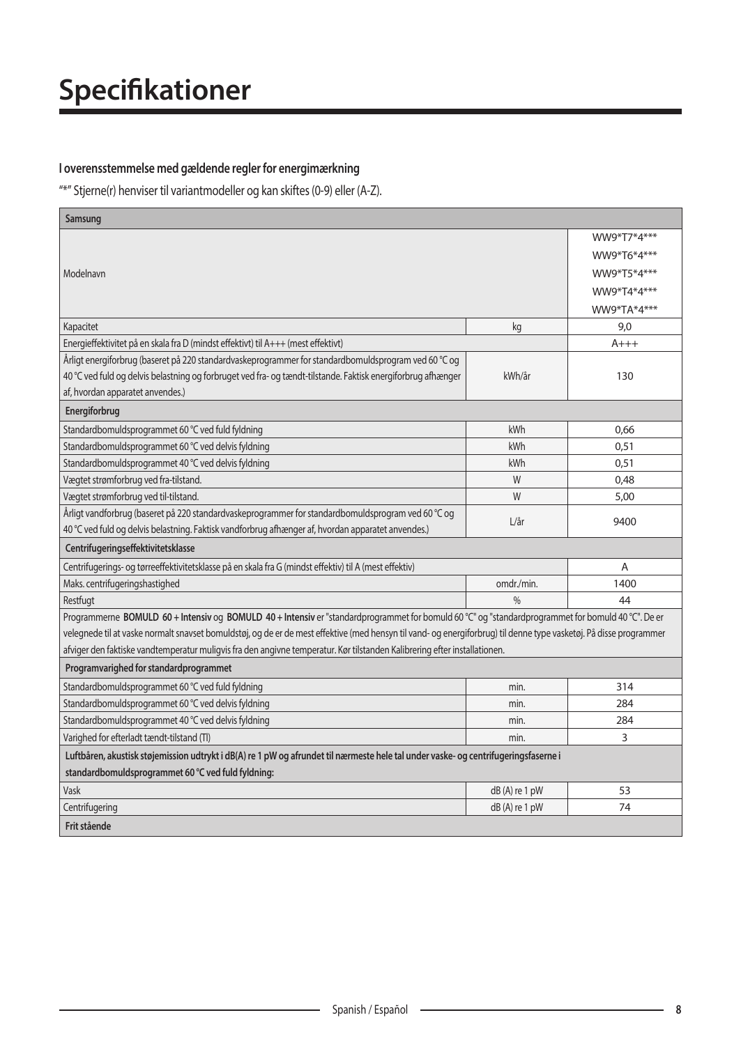### **I** overensstemmelse med gældende regler for energimærkning

"\*" Stjerne(r) henviser til variantmodeller og kan skiftes (0-9) eller (A-Z).

| Samsung                                                                                                                                                            |               |             |
|--------------------------------------------------------------------------------------------------------------------------------------------------------------------|---------------|-------------|
|                                                                                                                                                                    |               | WW9*T7*4*** |
|                                                                                                                                                                    |               | WW9*T6*4*** |
| Modelnavn                                                                                                                                                          |               | WW9*T5*4*** |
|                                                                                                                                                                    |               | WW9*T4*4*** |
|                                                                                                                                                                    |               | WW9*TA*4*** |
| Kapacitet                                                                                                                                                          | kg            | 9,0         |
| Energieffektivitet på en skala fra D (mindst effektivt) til A+++ (mest effektivt)                                                                                  |               | $A+++$      |
| Årligt energiforbrug (baseret på 220 standardvaskeprogrammer for standardbomuldsprogram ved 60 °C og                                                               |               |             |
| 40 °C ved fuld og delvis belastning og forbruget ved fra- og tændt-tilstande. Faktisk energiforbrug afhænger                                                       | kWh/år        | 130         |
| af, hvordan apparatet anvendes.)                                                                                                                                   |               |             |
| Energiforbrug                                                                                                                                                      |               |             |
| Standardbomuldsprogrammet 60 °C ved fuld fyldning                                                                                                                  | kWh           | 0,66        |
| Standardbomuldsprogrammet 60 °C ved delvis fyldning                                                                                                                | kWh           | 0,51        |
| Standardbomuldsprogrammet 40 °C ved delvis fyldning                                                                                                                | kWh           | 0,51        |
| Vægtet strømforbrug ved fra-tilstand.                                                                                                                              | W             | 0,48        |
| Vægtet strømforbrug ved til-tilstand.                                                                                                                              | W             | 5,00        |
| Årligt vandforbrug (baseret på 220 standardvaskeprogrammer for standardbomuldsprogram ved 60 °C og                                                                 | L/ar          | 9400        |
| 40 °C ved fuld og delvis belastning. Faktisk vandforbrug afhænger af, hvordan apparatet anvendes.)                                                                 |               |             |
| Centrifugeringseffektivitetsklasse                                                                                                                                 |               |             |
| Centrifugerings- og tørreeffektivitetsklasse på en skala fra G (mindst effektiv) til A (mest effektiv)                                                             |               | A           |
| Maks. centrifugeringshastighed                                                                                                                                     | omdr./min.    | 1400        |
| Restfugt                                                                                                                                                           | $\frac{0}{0}$ | 44          |
| Programmerne BOMULD 60 + Intensiv og BOMULD 40 + Intensiv er "standardprogrammet for bomuld 60 °C" og "standardprogrammet for bomuld 40 °C". De er                 |               |             |
| velegnede til at vaske normalt snavset bomuldstøj, og de er de mest effektive (med hensyn til vand- og energiforbrug) til denne type vasketøj. På disse programmer |               |             |
| afviger den faktiske vandtemperatur muligvis fra den angivne temperatur. Kør tilstanden Kalibrering efter installationen.                                          |               |             |
| Programvarighed for standardprogrammet                                                                                                                             |               |             |
| Standardbomuldsprogrammet 60 °C ved fuld fyldning                                                                                                                  | min.          | 314         |
| Standardbomuldsprogrammet 60 °C ved delvis fyldning                                                                                                                | min.          | 284         |
| Standardbomuldsprogrammet 40 °C ved delvis fyldning                                                                                                                | min.          | 284         |
| Varighed for efterladt tændt-tilstand (Tl)                                                                                                                         | min.          | 3           |
| Luftbåren, akustisk støjemission udtrykt i dB(A) re 1 pW og afrundet til nærmeste hele tal under vaske- og centrifugeringsfaserne i                                |               |             |
| standardbomuldsprogrammet 60 °C ved fuld fyldning:                                                                                                                 |               |             |
| Vask                                                                                                                                                               | dB(A) re 1 pW | 53          |
| Centrifugering                                                                                                                                                     | dB(A) re 1 pW | 74          |
| Frit stående                                                                                                                                                       |               |             |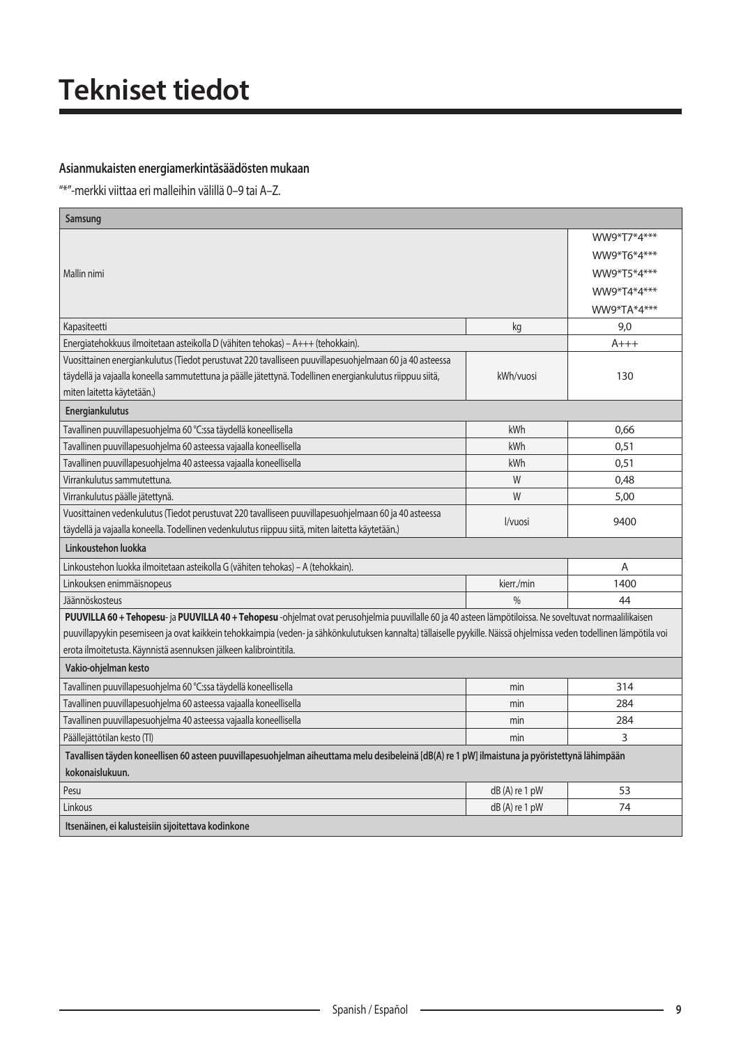## **Tekniset tiedot**

### Asianmukaisten energiamerkintäsäädösten mukaan

"\*"-merkki viittaa eri malleihin välillä 0-9 tai A-Z.

| Samsung                                                                                                                                                              |                 |             |
|----------------------------------------------------------------------------------------------------------------------------------------------------------------------|-----------------|-------------|
|                                                                                                                                                                      |                 | WW9*T7*4*** |
|                                                                                                                                                                      |                 | WW9*T6*4*** |
| Mallin nimi                                                                                                                                                          |                 | WW9*T5*4*** |
|                                                                                                                                                                      |                 | WW9*T4*4*** |
|                                                                                                                                                                      |                 | WW9*TA*4*** |
| Kapasiteetti                                                                                                                                                         | kg              | 9,0         |
| Energiatehokkuus ilmoitetaan asteikolla D (vähiten tehokas) – A+++ (tehokkain).                                                                                      |                 | $A+++$      |
| Vuosittainen energiankulutus (Tiedot perustuvat 220 tavalliseen puuvillapesuohjelmaan 60 ja 40 asteessa                                                              |                 |             |
| täydellä ja vajaalla koneella sammutettuna ja päälle jätettynä. Todellinen energiankulutus riippuu siitä,                                                            | kWh/vuosi       | 130         |
| miten laitetta käytetään.)                                                                                                                                           |                 |             |
| Energiankulutus                                                                                                                                                      |                 |             |
| Tavallinen puuvillapesuohjelma 60 °C:ssa täydellä koneellisella                                                                                                      | kWh             | 0.66        |
| Tavallinen puuvillapesuohjelma 60 asteessa vajaalla koneellisella                                                                                                    | kWh             | 0,51        |
| Tavallinen puuvillapesuohjelma 40 asteessa vajaalla koneellisella                                                                                                    | kWh             | 0,51        |
| Virrankulutus sammutettuna.                                                                                                                                          | W               | 0,48        |
| Virrankulutus päälle jätettynä.                                                                                                                                      | W               | 5,00        |
| Vuosittainen vedenkulutus (Tiedot perustuvat 220 tavalliseen puuvillapesuohjelmaan 60 ja 40 asteessa                                                                 | I/vuosi         | 9400        |
| täydellä ja vajaalla koneella. Todellinen vedenkulutus riippuu siitä, miten laitetta käytetään.)                                                                     |                 |             |
| Linkoustehon luokka                                                                                                                                                  |                 |             |
| Linkoustehon luokka ilmoitetaan asteikolla G (vähiten tehokas) – A (tehokkain).                                                                                      |                 | A           |
| Linkouksen enimmäisnopeus                                                                                                                                            | kierr./min      | 1400        |
| Jäännöskosteus                                                                                                                                                       | $\frac{0}{0}$   | 44          |
| PUUVILLA 60 + Tehopesu- ja PUUVILLA 40 + Tehopesu -ohjelmat ovat perusohjelmia puuvillalle 60 ja 40 asteen lämpötiloissa. Ne soveltuvat normaalilikaisen             |                 |             |
| puuvillapyykin pesemiseen ja ovat kaikkein tehokkaimpia (veden- ja sähkönkulutuksen kannalta) tällaiselle pyykille. Näissä ohjelmissa veden todellinen lämpötila voi |                 |             |
| erota ilmoitetusta. Käynnistä asennuksen jälkeen kalibrointitila.                                                                                                    |                 |             |
| Vakio-ohjelman kesto                                                                                                                                                 |                 |             |
| Tavallinen puuvillapesuohjelma 60 °C:ssa täydellä koneellisella                                                                                                      | min             | 314         |
| Tavallinen puuvillapesuohjelma 60 asteessa vajaalla koneellisella                                                                                                    | min             | 284         |
| Tavallinen puuvillapesuohjelma 40 asteessa vajaalla koneellisella                                                                                                    | min             | 284         |
| Päällejättötilan kesto (Tl)                                                                                                                                          | min             | 3           |
| Tavallisen täyden koneellisen 60 asteen puuvillapesuohjelman aiheuttama melu desibeleinä [dB(A) re 1 pW] ilmaistuna ja pyöristettynä lähimpään                       |                 |             |
| kokonaislukuun.                                                                                                                                                      |                 |             |
| Pesu                                                                                                                                                                 | dB(A) re 1 pW   | 53          |
| Linkous                                                                                                                                                              | $dB(A)$ re 1 pW | 74          |
| Itsenäinen, ei kalusteisiin sijoitettava kodinkone                                                                                                                   |                 |             |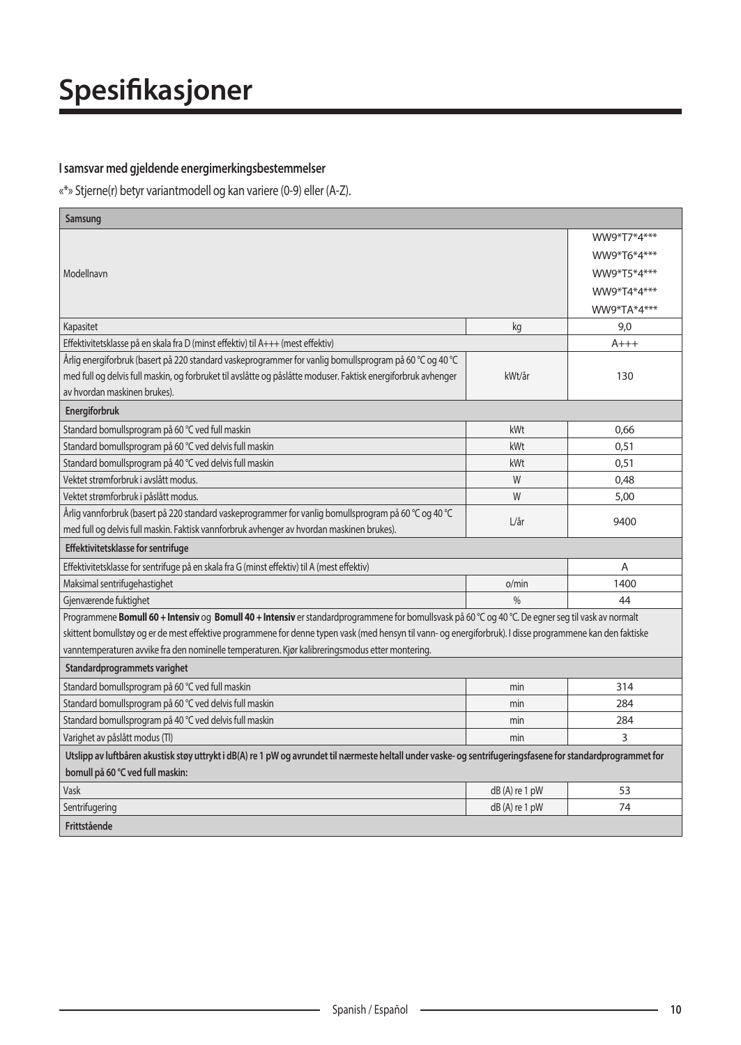### **I** samsvar med gjeldende energimerkingsbestemmelser

«\*» Stjerne(r) betyr variantmodell og kan variere (0-9) eller (A-Z).

| Samsung                                                                                                                                                      |               |             |
|--------------------------------------------------------------------------------------------------------------------------------------------------------------|---------------|-------------|
|                                                                                                                                                              |               | WW9*T7*4*** |
|                                                                                                                                                              |               | WW9*T6*4*** |
| Modellnavn                                                                                                                                                   |               | WW9*T5*4*** |
|                                                                                                                                                              |               | WW9*T4*4*** |
|                                                                                                                                                              |               | WW9*TA*4*** |
| Kapasitet                                                                                                                                                    | kg            | 9,0         |
| Effektivitetsklasse på en skala fra D (minst effektiv) til A+++ (mest effektiv)                                                                              |               | $A+++$      |
| Årlig energiforbruk (basert på 220 standard vaskeprogrammer for vanlig bomullsprogram på 60 °C og 40 °C                                                      |               |             |
| med full og delvis full maskin, og forbruket til avslåtte og påslåtte moduser. Faktisk energiforbruk avhenger                                                | kWt/år        | 130         |
| av hvordan maskinen brukes).                                                                                                                                 |               |             |
| Energiforbruk                                                                                                                                                |               |             |
| Standard bomullsprogram på 60 °C ved full maskin                                                                                                             | kWt           | 0.66        |
| Standard bomullsprogram på 60 °C ved delvis full maskin                                                                                                      | kWt           | 0.51        |
| Standard bomullsprogram på 40 °C ved delvis full maskin                                                                                                      | kWt           | 0.51        |
| Vektet strømforbruk i avslått modus.                                                                                                                         | W             | 0,48        |
| Vektet strømforbruk i påslått modus.                                                                                                                         | W             | 5,00        |
| Årlig vannforbruk (basert på 220 standard vaskeprogrammer for vanlig bomullsprogram på 60 °C og 40 °C                                                        | L/ar          | 9400        |
| med full og delvis full maskin. Faktisk vannforbruk avhenger av hvordan maskinen brukes).                                                                    |               |             |
| Effektivitetsklasse for sentrifuge                                                                                                                           |               |             |
| Effektivitetsklasse for sentrifuge på en skala fra G (minst effektiv) til A (mest effektiv)                                                                  |               | A           |
| Maksimal sentrifugehastighet                                                                                                                                 | o/min         | 1400        |
| Gjenværende fuktighet                                                                                                                                        | 0/6           | 44          |
| Programmene Bomull 60 + Intensiv og Bomull 40 + Intensiv er standardprogrammene for bomullsvask på 60 °C og 40 °C. De egner seg til vask av normalt          |               |             |
| skittent bomullstøy og er de mest effektive programmene for denne typen vask (med hensyn til vann- og energiforbruk). I disse programmene kan den faktiske   |               |             |
| vanntemperaturen avvike fra den nominelle temperaturen. Kjør kalibreringsmodus etter montering.                                                              |               |             |
| Standardprogrammets varighet                                                                                                                                 |               |             |
| Standard bomullsprogram på 60 °C ved full maskin                                                                                                             | min           | 314         |
| Standard bomullsprogram på 60 °C ved delvis full maskin                                                                                                      | min           | 284         |
| Standard bomullsprogram på 40 °C ved delvis full maskin                                                                                                      | min           | 284         |
| Varighet av påslått modus (Tl)                                                                                                                               | min           | 3           |
| Utslipp av luftbåren akustisk støy uttrykt i dB(A) re 1 pW og avrundet til nærmeste heltall under vaske- og sentrifugeringsfasene for standardprogrammet for |               |             |
| bomull på 60 °C ved full maskin:                                                                                                                             |               |             |
| Vask                                                                                                                                                         | dB(A) re 1 pW | 53          |
| Sentrifugering                                                                                                                                               | dB(A) re 1 pW | 74          |
| Frittstående                                                                                                                                                 |               |             |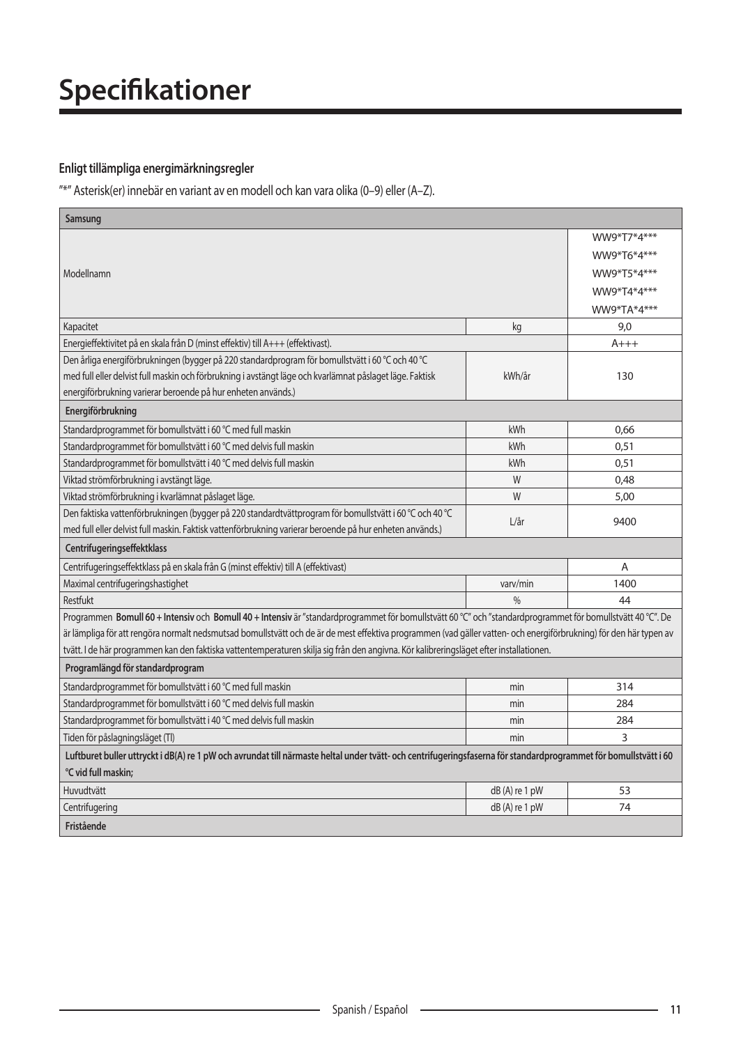### **Enligt tillämpliga energimärkningsregler**

 $\sqrt{n*''}$  Asterisk(er) innebär en variant av en modell och kan vara olika (0-9) eller (A-Z).

| Samsung                                                                                                                                                            |                 |             |
|--------------------------------------------------------------------------------------------------------------------------------------------------------------------|-----------------|-------------|
|                                                                                                                                                                    |                 | WW9*T7*4*** |
|                                                                                                                                                                    |                 | WW9*T6*4*** |
| Modellnamn                                                                                                                                                         |                 | WW9*T5*4*** |
|                                                                                                                                                                    |                 | WW9*T4*4*** |
|                                                                                                                                                                    |                 | WW9*TA*4*** |
| Kapacitet                                                                                                                                                          | kg              | 9,0         |
| Energieffektivitet på en skala från D (minst effektiv) till A+++ (effektivast).                                                                                    |                 | $A+++$      |
| Den årliga energiförbrukningen (bygger på 220 standardprogram för bomullstvätt i 60 °C och 40 °C                                                                   |                 |             |
| med full eller delvist full maskin och förbrukning i avstängt läge och kvarlämnat påslaget läge. Faktisk                                                           | kWh/år          | 130         |
| energiförbrukning varierar beroende på hur enheten används.)                                                                                                       |                 |             |
| Energiförbrukning                                                                                                                                                  |                 |             |
| Standardprogrammet för bomullstvätt i 60 °C med full maskin                                                                                                        | kWh             | 0,66        |
| Standardprogrammet för bomullstvätt i 60 °C med delvis full maskin                                                                                                 | kWh             | 0,51        |
| Standardprogrammet för bomullstvätt i 40 °C med delvis full maskin                                                                                                 | kWh             | 0,51        |
| Viktad strömförbrukning i avstängt läge.                                                                                                                           | W               | 0,48        |
| Viktad strömförbrukning i kvarlämnat påslaget läge.                                                                                                                | W               | 5,00        |
| Den faktiska vattenförbrukningen (bygger på 220 standardtvättprogram för bomullstvätt i 60 °C och 40 °C                                                            | L/ar            | 9400        |
| med full eller delvist full maskin. Faktisk vattenförbrukning varierar beroende på hur enheten används.)                                                           |                 |             |
| Centrifugeringseffektklass                                                                                                                                         |                 |             |
| Centrifugeringseffektklass på en skala från G (minst effektiv) till A (effektivast)                                                                                |                 | A           |
| Maximal centrifugeringshastighet                                                                                                                                   | vary/min        | 1400        |
| Restfukt                                                                                                                                                           | $\frac{0}{0}$   | 44          |
| Programmen Bomull 60 + Intensiv och Bomull 40 + Intensiv är "standardprogrammet för bomullstvätt 60 °C" och "standardprogrammet för bomullstvätt 40 °C". De        |                 |             |
| är lämpliga för att rengöra normalt nedsmutsad bomullstvätt och de är de mest effektiva programmen (vad gäller vatten- och energiförbrukning) för den här typen av |                 |             |
| tvätt. I de här programmen kan den faktiska vattentemperaturen skilja sig från den angivna. Kör kalibreringsläget efter installationen.                            |                 |             |
| Programlängd för standardprogram                                                                                                                                   |                 |             |
| Standardprogrammet för bomullstvätt i 60 °C med full maskin                                                                                                        | min             | 314         |
| Standardprogrammet för bomullstvätt i 60 °C med delvis full maskin                                                                                                 | min             | 284         |
| Standardprogrammet för bomullstvätt i 40 °C med delvis full maskin                                                                                                 | min             | 284         |
| Tiden för påslagningsläget (Tl)                                                                                                                                    | min             | 3           |
| Luftburet buller uttryckt i dB(A) re 1 pW och avrundat till närmaste heltal under tvätt- och centrifugeringsfaserna för standardprogrammet för bomullstvätt i 60   |                 |             |
| °C vid full maskin;                                                                                                                                                |                 |             |
| Huvudtvätt                                                                                                                                                         | dB(A) re 1 pW   | 53          |
| Centrifugering                                                                                                                                                     | $dB(A)$ re 1 pW | 74          |
| Fristående                                                                                                                                                         |                 |             |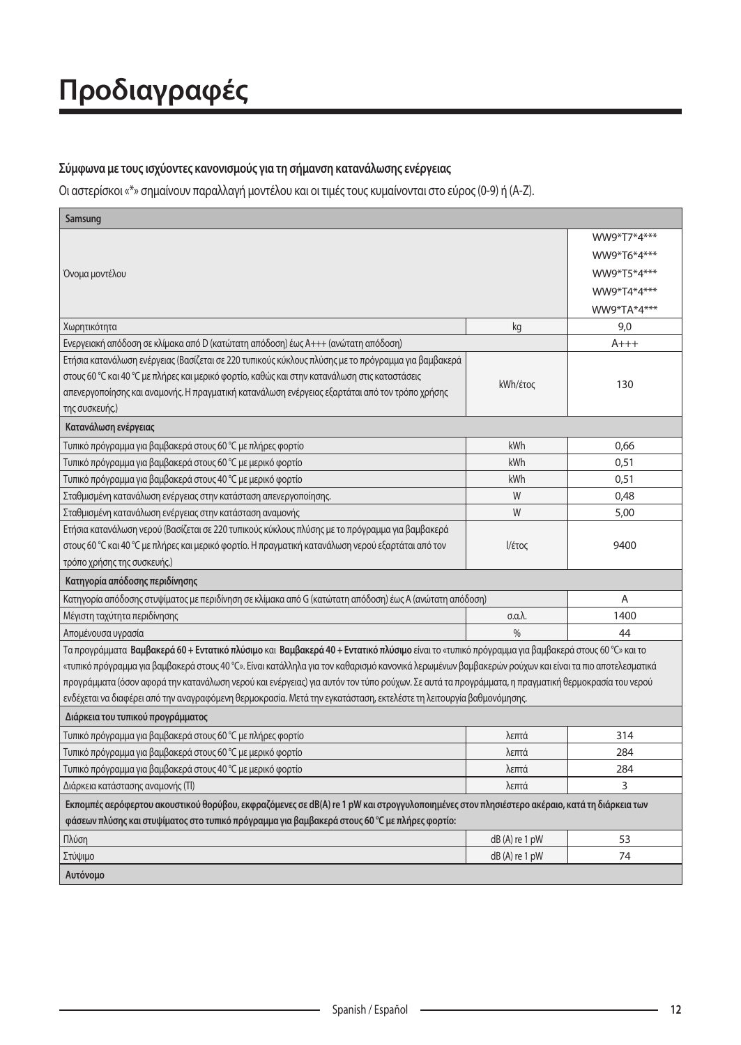# **Προδιαγραφές**

### Σύμφωνα με τους ισχύοντες κανονισμούς για τη σήμανση κατανάλωσης ενέργειας

Οι αστερίσκοι «\*» σημαίνουν παραλλαγή μοντέλου και οι τιμές τους κυμαίνονται στο εύρος (0-9) ή (A-Z).

| Samsung                                                                                                                                              |                          |             |
|------------------------------------------------------------------------------------------------------------------------------------------------------|--------------------------|-------------|
|                                                                                                                                                      |                          | WW9*T7*4*** |
|                                                                                                                                                      |                          | WW9*T6*4*** |
| Όνομα μοντέλου                                                                                                                                       |                          | WW9*T5*4*** |
|                                                                                                                                                      |                          | WW9*T4*4*** |
|                                                                                                                                                      |                          | WW9*TA*4*** |
| Χωρητικότητα                                                                                                                                         | kg                       | 9,0         |
| Eνεργειακή απόδοση σε κλίμακα από D (κατώτατη απόδοση) έως A+++ (ανώτατη απόδοση)                                                                    |                          | $A+++$      |
| Ετήσια κατανάλωση ενέργειας (Βασίζεται σε 220 τυπικούς κύκλους πλύσης με το πρόγραμμα για βαμβακερά                                                  |                          |             |
| στους 60 °C και 40 °C με πλήρες και μερικό φορτίο, καθώς και στην κατανάλωση στις καταστάσεις                                                        |                          |             |
| απενεργοποίησης και αναμονής. Η πραγματική κατανάλωση ενέργειας εξαρτάται από τον τρόπο χρήσης                                                       | kWh/έτος                 | 130         |
| της συσκευής.)                                                                                                                                       |                          |             |
| Κατανάλωση ενέργειας                                                                                                                                 |                          |             |
| Τυπικό πρόγραμμα για βαμβακερά στους 60 °C με πλήρες φορτίο                                                                                          | kWh                      | 0,66        |
| Τυπικό πρόγραμμα για βαμβακερά στους 60 °C με μερικό φορτίο                                                                                          | kWh                      | 0,51        |
| Τυπικό πρόγραμμα για βαμβακερά στους 40 °C με μερικό φορτίο                                                                                          | kWh                      | 0,51        |
| Σταθμισμένη κατανάλωση ενέργειας στην κατάσταση απενεργοποίησης.                                                                                     | W                        | 0,48        |
| Σταθμισμένη κατανάλωση ενέργειας στην κατάσταση αναμονής                                                                                             | W                        | 5,00        |
| Ετήσια κατανάλωση νερού (Βασίζεται σε 220 τυπικούς κύκλους πλύσης με το πρόγραμμα για βαμβακερά                                                      |                          |             |
| στους 60 °C και 40 °C με πλήρες και μερικό φορτίο. Η πραγματική κατανάλωση νερού εξαρτάται από τον                                                   | Ι/έτος                   | 9400        |
| τρόπο χρήσης της συσκευής.)                                                                                                                          |                          |             |
| Κατηγορία απόδοσης περιδίνησης                                                                                                                       |                          |             |
| Κατηγορία απόδοσης στυψίματος με περιδίνηση σε κλίμακα από G (κατώτατη απόδοση) έως A (ανώτατη απόδοση)                                              |                          | A           |
| Μέγιστη ταχύτητα περιδίνησης                                                                                                                         | $\sigma$ .a. $\lambda$ . | 1400        |
| Απομένουσα υγρασία                                                                                                                                   | $\frac{0}{0}$            | 44          |
| Τα προγράμματα Βαμβακερά 60 + Εντατικό πλύσιμο και Βαμβακερά 40 + Εντατικό πλύσιμο είναι το «τυπικό πρόγραμμα για βαμβακερά στους 60 °C» και το      |                          |             |
| «τυπικό πρόγραμμα για βαμβακερά στους 40 °C». Είναι κατάλληλα για τον καθαρισμό κανονικά λερωμένων βαμβακερών ρούχων και είναι τα πιο αποτελεσματικά |                          |             |
| προγράμματα (όσον αφορά την κατανάλωση νερού και ενέργειας) για αυτόν τον τύπο ρούχων. Σε αυτά τα προγράμματα, η πραγματική θερμοκρασία του νερού    |                          |             |
| ενδέχεται να διαφέρει από την αναγραφόμενη θερμοκρασία. Μετά την εγκατάσταση, εκτελέστε τη λειτουργία βαθμονόμησης.                                  |                          |             |
| Διάρκεια του τυπικού προγράμματος                                                                                                                    |                          |             |
| Τυπικό πρόγραμμα για βαμβακερά στους 60 °C με πλήρες φορτίο                                                                                          | λεπτά                    | 314         |
| Τυπικό πρόγραμμα για βαμβακερά στους 60 °C με μερικό φορτίο                                                                                          | λεπτά                    | 284         |
| Τυπικό πρόγραμμα για βαμβακερά στους 40 °C με μερικό φορτίο                                                                                          | λεπτά                    | 284         |
| Διάρκεια κατάστασης αναμονής (Tl)                                                                                                                    | λεπτά                    | 3           |
| Εκπομπές αερόφερτου ακουστικού θορύβου, εκφραζόμενες σε dB(A) re 1 pW και στρογγυλοποιημένες στον πλησιέστερο ακέραιο, κατά τη διάρκεια των          |                          |             |
| φάσεων πλύσης και στυψίματος στο τυπικό πρόγραμμα για βαμβακερά στους 60 °C με πλήρες φορτίο:                                                        |                          |             |
| Πλύση                                                                                                                                                | $dB(A)$ re 1 pW          | 53          |
| Στύψιμο                                                                                                                                              | $dB(A)$ re 1 pW          | 74          |
| Αυτόνομο                                                                                                                                             |                          |             |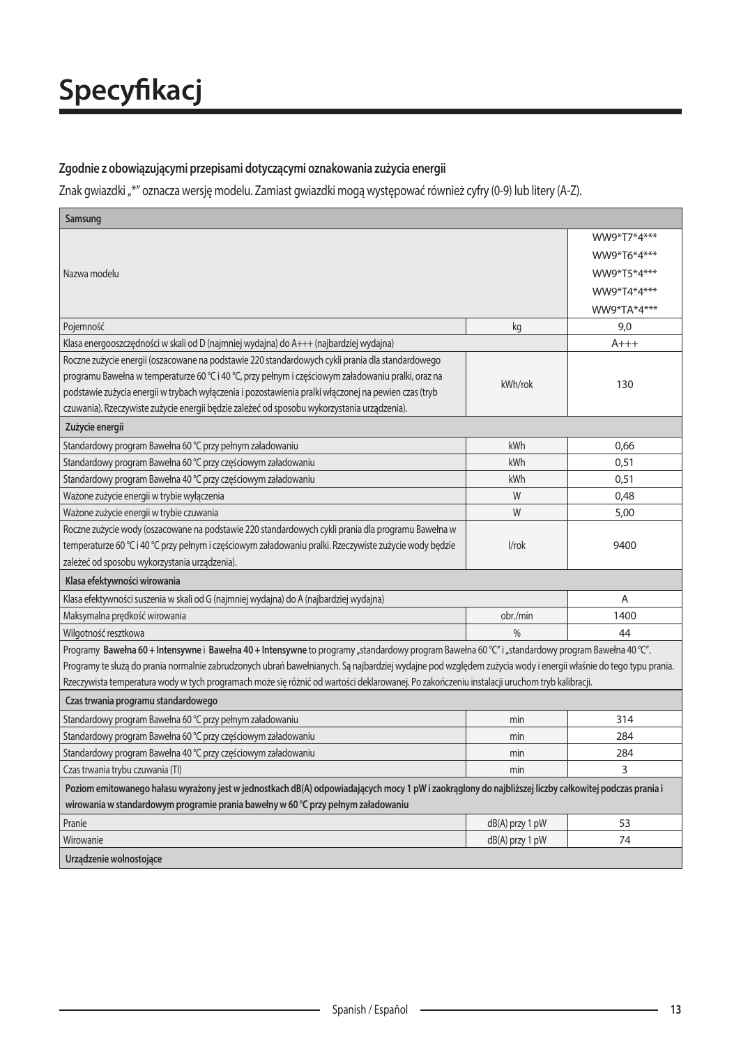#### Zgodnie z obowiązującymi przepisami dotyczącymi oznakowania zużycia energii

Znak gwiazdki "\*" oznacza wersję modelu. Zamiast gwiazdki mogą występować również cyfry (0-9) lub litery (A-Z).

| Samsung                                                                                                                                                        |                   |             |
|----------------------------------------------------------------------------------------------------------------------------------------------------------------|-------------------|-------------|
|                                                                                                                                                                |                   | WW9*T7*4*** |
|                                                                                                                                                                |                   | WW9*T6*4*** |
| Nazwa modelu                                                                                                                                                   |                   | WW9*T5*4*** |
|                                                                                                                                                                |                   | WW9*T4*4*** |
|                                                                                                                                                                |                   | WW9*TA*4*** |
| Pojemność                                                                                                                                                      | kg                | 9,0         |
| Klasa energooszczędności w skali od D (najmniej wydajna) do A+++ (najbardziej wydajna)                                                                         |                   | $A+++$      |
| Roczne zużycie energii (oszacowane na podstawie 220 standardowych cykli prania dla standardowego                                                               |                   |             |
| programu Bawełna w temperaturze 60 °C i 40 °C, przy pełnym i częściowym załadowaniu pralki, oraz na                                                            |                   |             |
| podstawie zużycia energii w trybach wyłączenia i pozostawienia pralki włączonej na pewien czas (tryb                                                           | kWh/rok           | 130         |
| czuwania). Rzeczywiste zużycie energii będzie zależeć od sposobu wykorzystania urządzenia).                                                                    |                   |             |
| Zużycie energii                                                                                                                                                |                   |             |
| Standardowy program Bawełna 60 °C przy pełnym załadowaniu                                                                                                      | kWh               | 0,66        |
| Standardowy program Bawełna 60 °C przy częściowym załadowaniu                                                                                                  | kWh               | 0,51        |
| Standardowy program Bawełna 40 °C przy częściowym załadowaniu                                                                                                  | kWh               | 0.51        |
| Ważone zużycie energii w trybie wyłączenia                                                                                                                     | W                 | 0,48        |
| Ważone zużycie energii w trybie czuwania                                                                                                                       | W                 | 5,00        |
| Roczne zużycie wody (oszacowane na podstawie 220 standardowych cykli prania dla programu Bawełna w                                                             |                   |             |
| temperaturze 60 °C i 40 °C przy pełnym i częściowym załadowaniu pralki. Rzeczywiste zużycie wody będzie                                                        | l/rok             | 9400        |
| zależeć od sposobu wykorzystania urządzenia).                                                                                                                  |                   |             |
| Klasa efektywności wirowania                                                                                                                                   |                   |             |
| Klasa efektywności suszenia w skali od G (najmniej wydajna) do A (najbardziej wydajna)                                                                         |                   | A           |
| Maksymalna prędkość wirowania                                                                                                                                  | obr./min          | 1400        |
| Wilgotność resztkowa                                                                                                                                           | $\frac{0}{0}$     | 44          |
| Programy Bawełna 60 + Intensywne i Bawełna 40 + Intensywne to programy "standardowy program Bawełna 60 °C" i "standardowy program Bawełna 40 °C".              |                   |             |
| Programy te służą do prania normalnie zabrudzonych ubrań bawełnianych. Są najbardziej wydajne pod względem zużycia wody i energii właśnie do tego typu prania. |                   |             |
| Rzeczywista temperatura wody w tych programach może się różnić od wartości deklarowanej. Po zakończeniu instalacji uruchom tryb kalibracji.                    |                   |             |
| Czas trwania programu standardowego                                                                                                                            |                   |             |
| Standardowy program Bawełna 60 °C przy pełnym załadowaniu                                                                                                      | min               | 314         |
| Standardowy program Bawełna 60 °C przy częściowym załadowaniu                                                                                                  | min               | 284         |
| Standardowy program Bawełna 40 °C przy częściowym załadowaniu                                                                                                  | min               | 284         |
| Czas trwania trybu czuwania (TI)                                                                                                                               | min               | 3           |
| Poziom emitowanego hałasu wyrażony jest w jednostkach dB(A) odpowiadających mocy 1 pW i zaokrąglony do najbliższej liczby całkowitej podczas prania i          |                   |             |
| wirowania w standardowym programie prania bawełny w 60 °C przy pełnym załadowaniu                                                                              |                   |             |
| Pranie                                                                                                                                                         | $dB(A)$ przy 1 pW | 53          |
| Wirowanie                                                                                                                                                      | $dB(A)$ przy 1 pW | 74          |
| Urzadzenie wolnostojące                                                                                                                                        |                   |             |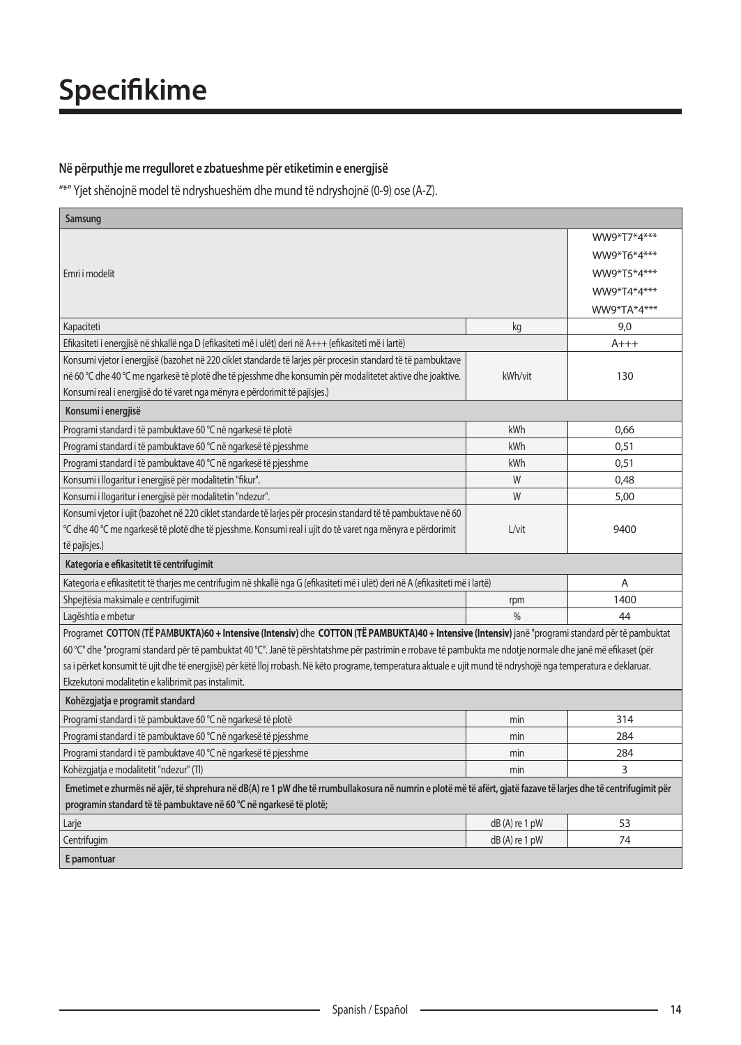### Në përputhje me rregulloret e zbatueshme për etiketimin e energjisë

.(Z-A (ose) 0-9 (ndryshojnë të mund dhe ndryshueshëm të model shënojnë Yjet"\*"

| Samsung                                                                                                                                                           |                 |             |
|-------------------------------------------------------------------------------------------------------------------------------------------------------------------|-----------------|-------------|
|                                                                                                                                                                   |                 | WW9*T7*4*** |
|                                                                                                                                                                   |                 | WW9*T6*4*** |
| Emri i modelit                                                                                                                                                    |                 | WW9*T5*4*** |
|                                                                                                                                                                   |                 | WW9*T4*4*** |
|                                                                                                                                                                   |                 | WW9*TA*4*** |
| Kapaciteti                                                                                                                                                        | kg              | 9,0         |
| Efikasiteti i energjisë në shkallë nga D (efikasiteti më i ulët) deri në A+++ (efikasiteti më i lartë)                                                            |                 | $A+++$      |
| Konsumi vjetor i energjisë (bazohet në 220 ciklet standarde të larjes për procesin standard të të pambuktave                                                      |                 |             |
| në 60 ℃ dhe 40 ℃ me ngarkesë të plotë dhe të pjesshme dhe konsumin për modalitetet aktive dhe joaktive.                                                           | kWh/vit         | 130         |
| Konsumi real i energjisë do të varet nga mënyra e përdorimit të pajisjes.)                                                                                        |                 |             |
| Konsumi i energjisë                                                                                                                                               |                 |             |
| Programi standard i të pambuktave 60 °C në ngarkesë të plotë                                                                                                      | kWh             | 0,66        |
| Programi standard i të pambuktave 60 °C në ngarkesë të pjesshme                                                                                                   | kWh             | 0,51        |
| Programi standard i të pambuktave 40 °C në ngarkesë të pjesshme                                                                                                   | kWh             | 0,51        |
| Konsumi i llogaritur i energjisë për modalitetin "fikur".                                                                                                         | W               | 0,48        |
| Konsumi i llogaritur i energjisë për modalitetin "ndezur".                                                                                                        | W               | 5,00        |
| Konsumi vjetor i ujit (bazohet në 220 ciklet standarde të larjes për procesin standard të të pambuktave në 60                                                     |                 |             |
| °C dhe 40 °C me ngarkesë të plotë dhe të pjesshme. Konsumi real i ujit do të varet nga mënyra e përdorimit                                                        | $L/v$ it        | 9400        |
| të pajisjes.)                                                                                                                                                     |                 |             |
| Kategoria e efikasitetit të centrifugimit                                                                                                                         |                 |             |
| Kategoria e efikasitetit të tharjes me centrifugim në shkallë nga G (efikasiteti më i ulët) deri në A (efikasiteti më i lartë)                                    |                 | A           |
| Shpejtësia maksimale e centrifugimit                                                                                                                              | rpm             | 1400        |
| Lagështia e mbetur                                                                                                                                                | $\frac{0}{0}$   | 44          |
| Programet COTTON (TË PAMBUKTA)60 + Intensive (Intensiv) dhe COTTON (TË PAMBUKTA)40 + Intensive (Intensiv) janë "programi standard për të pambuktat                |                 |             |
| 60 °C" dhe "programi standard për të pambuktat 40 °C". Janë të përshtatshme për pastrimin e rrobave të pambukta me ndotje normale dhe janë më efikaset (për       |                 |             |
| sa i përket konsumit të ujit dhe të energjisë) për këtë lloj rrobash. Në këto programe, temperatura aktuale e ujit mund të ndryshojë nga temperatura e deklaruar. |                 |             |
| Ekzekutoni modalitetin e kalibrimit pas instalimit.                                                                                                               |                 |             |
| Kohëzgjatja e programit standard                                                                                                                                  |                 |             |
| Programi standard i të pambuktave 60 °C në ngarkesë të plotë                                                                                                      | min             | 314         |
| Programi standard i të pambuktave 60 °C në ngarkesë të pjesshme                                                                                                   | min             | 284         |
| Programi standard i të pambuktave 40 °C në ngarkesë të pjesshme                                                                                                   | min             | 284         |
| Kohëzgjatja e modalitetit "ndezur" (Tl)                                                                                                                           | min             | 3           |
| Emetimet e zhurmës në ajër, të shprehura në dB(A) re 1 pW dhe të rrumbullakosura në numrin e plotë më të afërt, gjatë fazave të larjes dhe të centrifugimit për   |                 |             |
| programin standard të të pambuktave në 60 °C në ngarkesë të plotë;                                                                                                |                 |             |
| Larje                                                                                                                                                             | $dB(A)$ re 1 pW | 53          |
| Centrifugim                                                                                                                                                       | $dB(A)$ re 1 pW | 74          |
| E pamontuar                                                                                                                                                       |                 |             |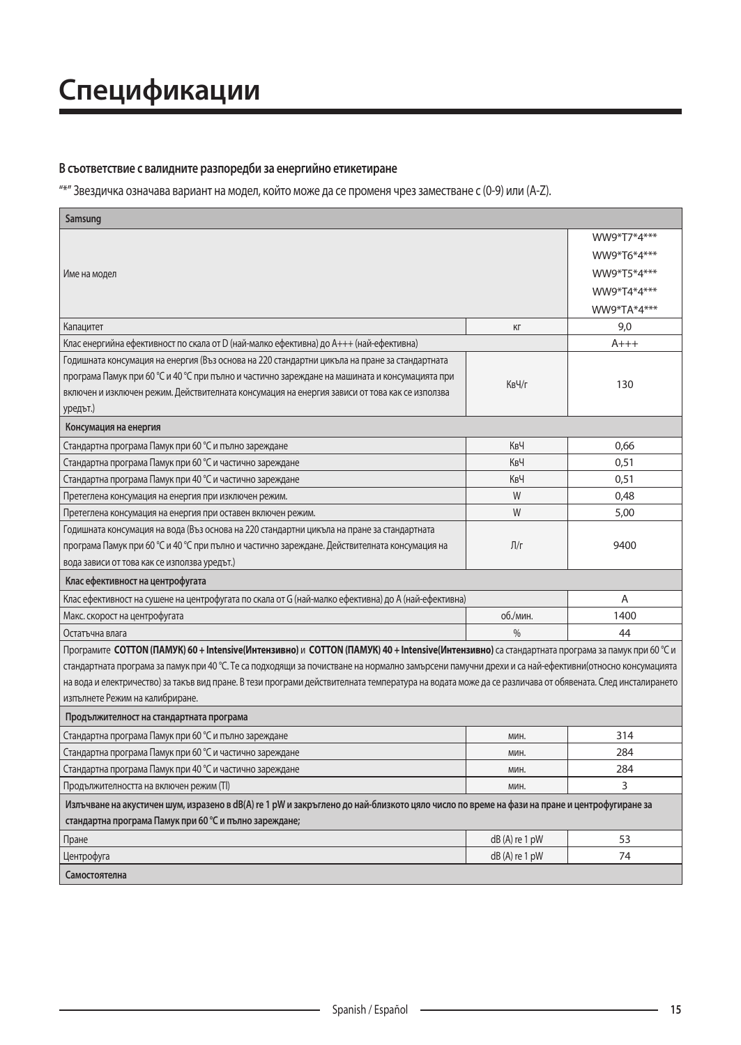# **Спецификации**

#### В съответствие с валидните разпоредби за енергийно етикетиране

"\*" Звездичка означава вариант на модел, който може да се променя чрез заместване с (0-9) или (A-Z).

| Samsung                                                                                                                                                 |                 |             |
|---------------------------------------------------------------------------------------------------------------------------------------------------------|-----------------|-------------|
|                                                                                                                                                         |                 | WW9*T7*4*** |
|                                                                                                                                                         |                 | WW9*T6*4*** |
| Име на модел                                                                                                                                            |                 | WW9*T5*4*** |
|                                                                                                                                                         |                 | WW9*T4*4*** |
|                                                                                                                                                         |                 | WW9*TA*4*** |
| Капацитет                                                                                                                                               | КΓ              | 9,0         |
| Клас енергийна ефективност по скала от D (най-малко ефективна) до A+++ (най-ефективна)                                                                  |                 | $A+++$      |
| Годишната консумация на енергия (Въз основа на 220 стандартни цикъла на пране за стандартната                                                           |                 |             |
| програма Памук при 60 °С и 40 °С при пълно и частично зареждане на машината и консумацията при                                                          |                 |             |
| включен и изключен режим. Действителната консумация на енергия зависи от това как се използва                                                           | КвЧ/г           | 130         |
| уредът.)                                                                                                                                                |                 |             |
| Консумация на енергия                                                                                                                                   |                 |             |
| Стандартна програма Памук при 60 °С и пълно зареждане                                                                                                   | КвЧ             | 0,66        |
| Стандартна програма Памук при 60 °С и частично зареждане                                                                                                | КвЧ             | 0.51        |
| Стандартна програма Памук при 40 °С и частично зареждане                                                                                                | КвЧ             | 0,51        |
| Претеглена консумация на енергия при изключен режим.                                                                                                    | W               | 0,48        |
| Претеглена консумация на енергия при оставен включен режим.                                                                                             | W               | 5,00        |
| Годишната консумация на вода (Въз основа на 220 стандартни цикъла на пране за стандартната                                                              |                 |             |
| програма Памук при 60 °С и 40 °С при пълно и частично зареждане. Действителната консумация на                                                           | Л/г             | 9400        |
| вода зависи от това как се използва уредът.)                                                                                                            |                 |             |
| Клас ефективност на центрофугата                                                                                                                        |                 |             |
| Клас ефективност на сушене на центрофугата по скала от G (най-малко ефективна) до A (най-ефективна)                                                     |                 | A           |
| Макс. скорост на центрофугата                                                                                                                           | об./мин.        | 1400        |
| Остатъчна влага                                                                                                                                         | $\frac{0}{0}$   | 44          |
| Програмите СОТТОN (ПАМУК) 60+Intensive(Интензивно) и СОТТОN (ПАМУК) 40+Intensive(Интензивно) са стандартната програма за памук при 60 °С и              |                 |             |
| стандартната програма за памук при 40 °С. Те са подходящи за почистване на нормално замърсени памучни дрехи и са най-ефективни(относно консумацията     |                 |             |
| на вода и електричество) за такъв вид пране. В тези програми действителната температура на водата може да се различава от обявената. След инсталирането |                 |             |
| изпълнете Режим на калибриране.                                                                                                                         |                 |             |
| Продължителност на стандартната програма                                                                                                                |                 |             |
| Стандартна програма Памук при 60 °С и пълно зареждане                                                                                                   | мин.            | 314         |
| Стандартна програма Памук при 60 °С и частично зареждане                                                                                                | МИН.            | 284         |
| Стандартна програма Памук при 40 °С и частично зареждане                                                                                                | мин.            | 284         |
| Продължителността на включен режим (TI)                                                                                                                 | МИН.            | 3           |
| Излъчване на акустичен шум, изразено в dB(A) re 1 pW и закръглено до най-близкото цяло число по време на фази на пране и центрофугиране за              |                 |             |
| стандартна програма Памук при 60 °С и пълно зареждане;                                                                                                  |                 |             |
| Пране                                                                                                                                                   | $dB(A)$ re 1 pW | 53          |
| Центрофуга                                                                                                                                              | $dB(A)$ re 1 pW | 74          |
| Самостоятелна                                                                                                                                           |                 |             |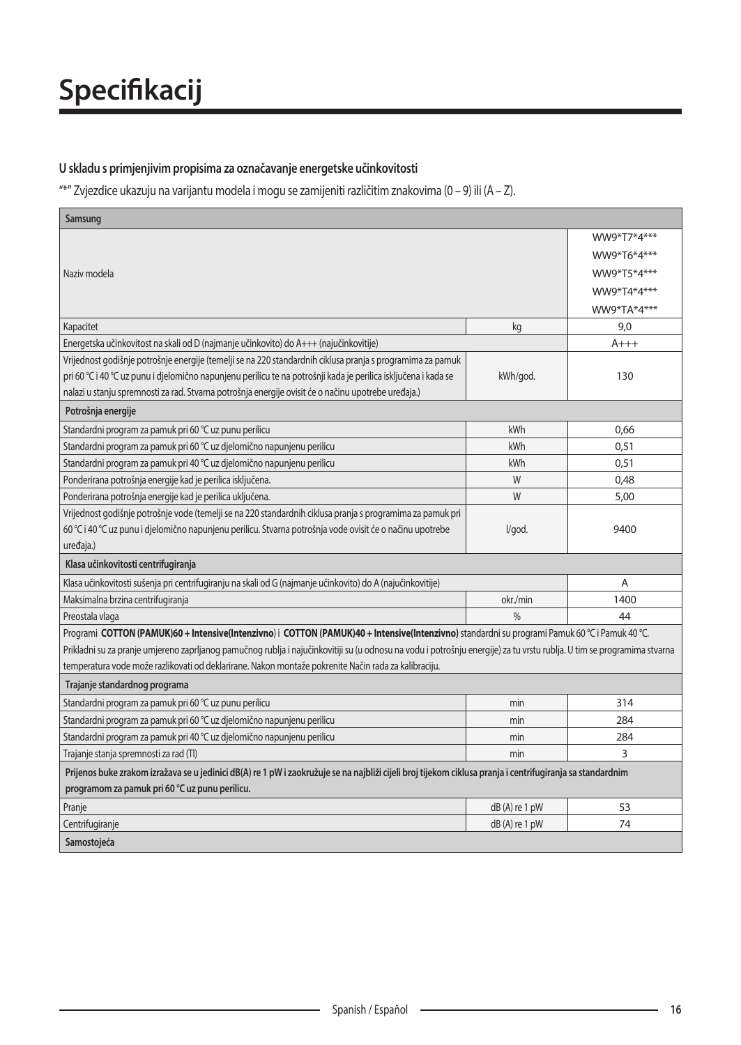### U skladu s primjenjivim propisima za označavanje energetske učinkovitosti

"\*" Zvjezdice ukazuju na varijantu modela i mogu se zamijeniti različitim znakovima (0 – 9) ili (A – Z).

| Samsung                                                                                                                                                                 |                 |             |
|-------------------------------------------------------------------------------------------------------------------------------------------------------------------------|-----------------|-------------|
|                                                                                                                                                                         |                 | WW9*T7*4*** |
|                                                                                                                                                                         |                 | WW9*T6*4*** |
| Naziv modela                                                                                                                                                            |                 | WW9*T5*4*** |
|                                                                                                                                                                         |                 | WW9*T4*4*** |
|                                                                                                                                                                         |                 | WW9*TA*4*** |
| Kapacitet                                                                                                                                                               | kg              | 9,0         |
| Energetska učinkovitost na skali od D (najmanje učinkovito) do A+++ (najučinkovitije)                                                                                   |                 | $A+++$      |
| Vrijednost godišnje potrošnje energije (temelji se na 220 standardnih ciklusa pranja s programima za pamuk                                                              |                 |             |
| pri 60 °C i 40 °C uz punu i djelomično napunjenu perilicu te na potrošnji kada je perilica isključena i kada se                                                         | kWh/god.        | 130         |
| nalazi u stanju spremnosti za rad. Stvarna potrošnja energije ovisit će o načinu upotrebe uređaja.)                                                                     |                 |             |
| Potrošnja energije                                                                                                                                                      |                 |             |
| Standardni program za pamuk pri 60 °C uz punu perilicu                                                                                                                  | kWh             | 0.66        |
| Standardni program za pamuk pri 60 °C uz djelomično napunjenu perilicu                                                                                                  | kWh             | 0.51        |
| Standardni program za pamuk pri 40 °C uz djelomično napunjenu perilicu                                                                                                  | kWh             | 0.51        |
| Ponderirana potrošnja energije kad je perilica isključena.                                                                                                              | W               | 0,48        |
| Ponderirana potrošnja energije kad je perilica uključena.                                                                                                               | W               | 5,00        |
| Vrijednost godišnje potrošnje vode (temelji se na 220 standardnih ciklusa pranja s programima za pamuk pri                                                              |                 |             |
| 60 °C i 40 °C uz punu i djelomično napunjenu perilicu. Stvarna potrošnja vode ovisit će o načinu upotrebe                                                               | l/god.          | 9400        |
| uređaja.)                                                                                                                                                               |                 |             |
| Klasa učinkovitosti centrifugiranja                                                                                                                                     |                 |             |
| Klasa učinkovitosti sušenja pri centrifugiranju na skali od G (najmanje učinkovito) do A (najučinkovitije)                                                              |                 | A           |
| Maksimalna brzina centrifugiranja                                                                                                                                       | okr./min        | 1400        |
| Preostala vlaga                                                                                                                                                         | 0/6             | 44          |
| Programi COTTON (PAMUK)60 + Intensive(Intenzivno) i COTTON (PAMUK)40 + Intensive(Intenzivno) standardni su programi Pamuk 60 °C i Pamuk 40 °C.                          |                 |             |
| Prikladni su za pranje umjereno zaprljanog pamučnog rublja i najučinkovitiji su (u odnosu na vodu i potrošnju energije) za tu vrstu rublja. U tim se programima stvarna |                 |             |
| temperatura vode može razlikovati od deklarirane. Nakon montaže pokrenite Način rada za kalibraciju.                                                                    |                 |             |
| Trajanje standardnog programa                                                                                                                                           |                 |             |
| Standardni program za pamuk pri 60 °C uz punu perilicu                                                                                                                  | min             | 314         |
| Standardni program za pamuk pri 60 °C uz djelomično napunjenu perilicu                                                                                                  | min             | 284         |
| Standardni program za pamuk pri 40 °C uz djelomično napunjenu perilicu                                                                                                  | min             | 284         |
| Trajanje stanja spremnosti za rad (Tl)                                                                                                                                  | min             | 3           |
| Prijenos buke zrakom izražava se u jedinici dB(A) re 1 pW i zaokružuje se na najbliži cijeli broj tijekom ciklusa pranja i centrifugiranja sa standardnim               |                 |             |
| programom za pamuk pri 60 °C uz punu perilicu.                                                                                                                          |                 |             |
| Pranje                                                                                                                                                                  | $dB(A)$ re 1 pW | 53          |
| Centrifugiranje                                                                                                                                                         | $dB(A)$ re 1 pW | 74          |
| Samostojeća                                                                                                                                                             |                 |             |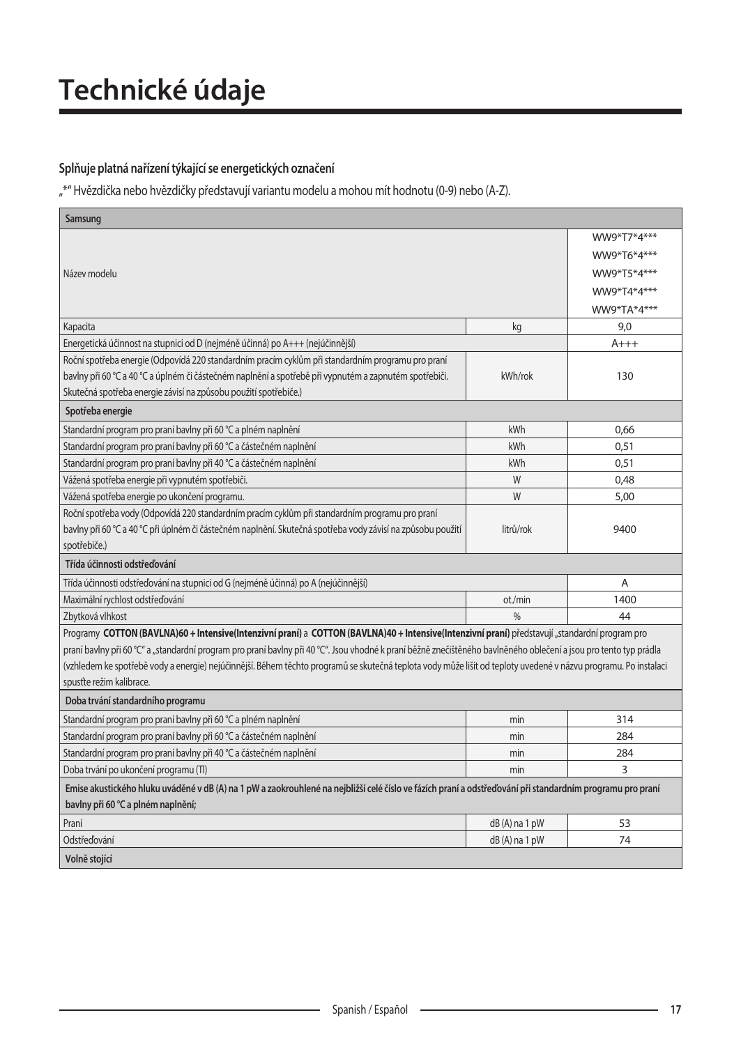# **Technické údaje**

### Splňuje platná nařízení týkající se energetických označení

"\*" Hvězdička nebo hvězdičky představují variantu modelu a mohou mít hodnotu (0-9) nebo (A-Z).

| Samsung                                                                                                                                                           |                 |             |
|-------------------------------------------------------------------------------------------------------------------------------------------------------------------|-----------------|-------------|
|                                                                                                                                                                   |                 | WW9*T7*4*** |
|                                                                                                                                                                   |                 | WW9*T6*4*** |
| Název modelu                                                                                                                                                      |                 | WW9*T5*4*** |
|                                                                                                                                                                   |                 | WW9*T4*4*** |
|                                                                                                                                                                   |                 | WW9*TA*4*** |
| Kapacita                                                                                                                                                          | kg              | 9,0         |
| Energetická účinnost na stupnici od D (nejméně účinná) po A+++ (nejúčinnější)                                                                                     |                 | $A+++$      |
| Roční spotřeba energie (Odpovídá 220 standardním pracím cyklům při standardním programu pro praní                                                                 |                 |             |
| bavlny při 60 °C a 40 °C a úplném či částečném naplnění a spotřebě při vypnutém a zapnutém spotřebiči.                                                            | kWh/rok         | 130         |
| Skutečná spotřeba energie závisí na způsobu použití spotřebiče.)                                                                                                  |                 |             |
| Spotřeba energie                                                                                                                                                  |                 |             |
| Standardní program pro praní bavlny při 60 °C a plném naplnění                                                                                                    | kWh             | 0,66        |
| Standardní program pro praní bavlny při 60 °C a částečném naplnění                                                                                                | kWh             | 0,51        |
| Standardní program pro praní bavlny při 40 °C a částečném naplnění                                                                                                | kWh             | 0,51        |
| Vážená spotřeba energie při vypnutém spotřebiči.                                                                                                                  | W               | 0,48        |
| Vážená spotřeba energie po ukončení programu.                                                                                                                     | W               | 5,00        |
| Roční spotřeba vody (Odpovídá 220 standardním pracím cyklům při standardním programu pro praní                                                                    |                 |             |
| bavlny při 60 °C a 40 °C při úplném či částečném naplnění. Skutečná spotřeba vody závisí na způsobu použití                                                       | litrů/rok       | 9400        |
| spotřebiče.)                                                                                                                                                      |                 |             |
| Třída účinnosti odstřeďování                                                                                                                                      |                 |             |
| Třída účinnosti odstřeďování na stupnici od G (nejméně účinná) po A (nejúčinnější)                                                                                |                 | Α           |
| Maximální rychlost odstřeďování                                                                                                                                   | ot./min         | 1400        |
| Zbytková vlhkost                                                                                                                                                  | 0/6             | 44          |
| Programy COTTON (BAVLNA)60 + Intensive(Intenzivní praní) a COTTON (BAVLNA)40 + Intensive(Intenzivní praní) představují "standardní program pro                    |                 |             |
| praní bavlny při 60 °C" a "standardní program pro praní bavlny při 40 °C". Jsou vhodné k praní běžně znečištěného bavlněného oblečení a jsou pro tento typ prádla |                 |             |
| (vzhledem ke spotřebě vody a energie) nejúčinnější. Během těchto programů se skutečná teplota vody může lišit od teploty uvedené v názvu programu. Po instalaci   |                 |             |
| spusťte režim kalibrace.                                                                                                                                          |                 |             |
| Doba trvání standardního programu                                                                                                                                 |                 |             |
| Standardní program pro praní bavlny při 60 °C a plném naplnění                                                                                                    | min             | 314         |
| Standardní program pro praní bavlny při 60 °C a částečném naplnění                                                                                                | min             | 284         |
| Standardní program pro praní bavlny při 40 °C a částečném naplnění                                                                                                | min             | 284         |
| Doba trvání po ukončení programu (TI)                                                                                                                             | min             | 3           |
| Emise akustického hluku uváděné v dB (A) na 1 pW a zaokrouhlené na nejbližší celé číslo ve fázích praní a odstřeďování při standardním programu pro praní         |                 |             |
| bavlny při 60 °C a plném naplnění;                                                                                                                                |                 |             |
| Praní                                                                                                                                                             | $dB(A)$ na 1 pW | 53          |
| Odstřeďování                                                                                                                                                      | dB (A) na 1 pW  | 74          |
| Volně stojící                                                                                                                                                     |                 |             |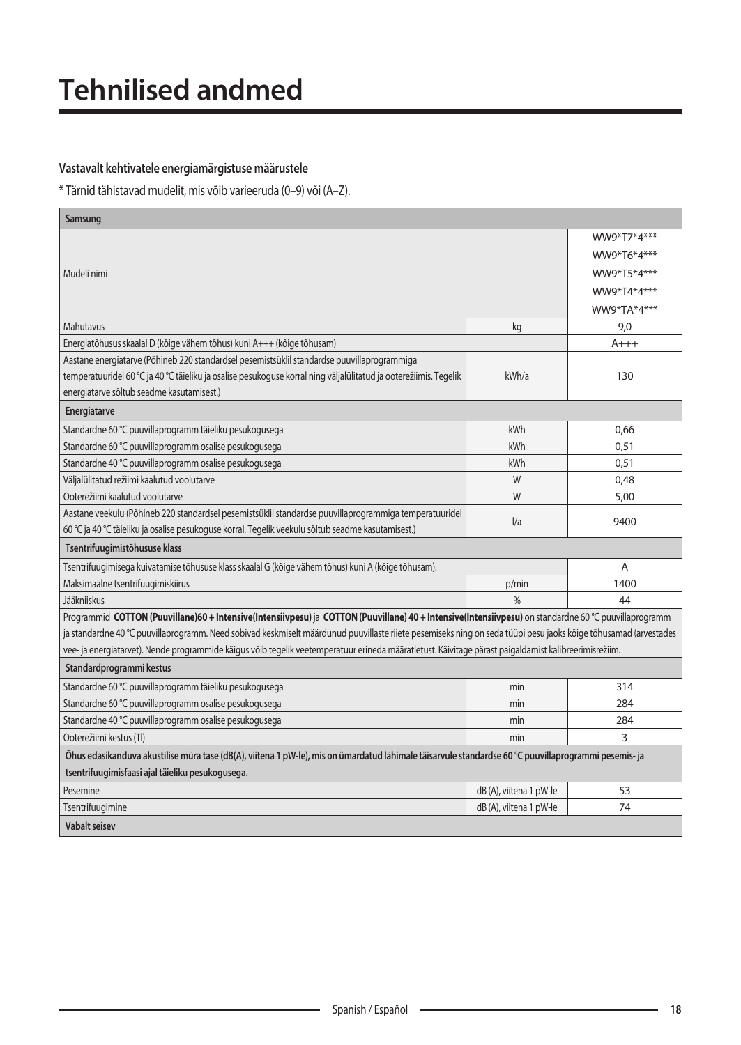### Vastavalt kehtivatele energiamärgistuse määrustele

\* Tärnid tähistavad mudelit, mis võib varieeruda (0–9) või (A–Z).

| Samsung                                                                                                                                                         |                         |             |
|-----------------------------------------------------------------------------------------------------------------------------------------------------------------|-------------------------|-------------|
|                                                                                                                                                                 |                         | WW9*T7*4*** |
|                                                                                                                                                                 |                         | WW9*T6*4*** |
| Mudeli nimi                                                                                                                                                     |                         | WW9*T5*4*** |
|                                                                                                                                                                 |                         | WW9*T4*4*** |
|                                                                                                                                                                 |                         | WW9*TA*4*** |
| Mahutavus                                                                                                                                                       | kg                      | 9,0         |
| Energiatõhusus skaalal D (kõige vähem tõhus) kuni A+++ (kõige tõhusam)                                                                                          |                         | $A+++$      |
| Aastane energiatarve (Põhineb 220 standardsel pesemistsüklil standardse puuvillaprogrammiga                                                                     |                         |             |
| temperatuuridel 60 °C ja 40 °C täieliku ja osalise pesukoguse korral ning väljalülitatud ja ooterežiimis. Tegelik                                               | kWh/a                   | 130         |
| energiatarve sõltub seadme kasutamisest.)                                                                                                                       |                         |             |
| Energiatarve                                                                                                                                                    |                         |             |
| Standardne 60 °C puuvillaprogramm täieliku pesukogusega                                                                                                         | kWh                     | 0,66        |
| Standardne 60 °C puuvillaprogramm osalise pesukogusega                                                                                                          | kWh                     | 0,51        |
| Standardne 40 °C puuvillaprogramm osalise pesukogusega                                                                                                          | kWh                     | 0,51        |
| Väljalülitatud režiimi kaalutud voolutarve                                                                                                                      | W                       | 0,48        |
| Ooterežiimi kaalutud voolutarve                                                                                                                                 | W                       | 5,00        |
| Aastane veekulu (Põhineb 220 standardsel pesemistsüklil standardse puuvillaprogrammiga temperatuuridel                                                          | 1/a                     | 9400        |
| 60 °C ja 40 °C täieliku ja osalise pesukoguse korral. Tegelik veekulu sõltub seadme kasutamisest.)                                                              |                         |             |
| Tsentrifuugimistõhususe klass                                                                                                                                   |                         |             |
| Tsentrifuugimisega kuivatamise tõhususe klass skaalal G (kõige vähem tõhus) kuni A (kõige tõhusam).                                                             |                         | A           |
| Maksimaalne tsentrifuugimiskiirus                                                                                                                               | p/min                   | 1400        |
| Jääkniiskus                                                                                                                                                     | $\frac{0}{0}$           | 44          |
| Programmid COTTON (Puuvillane)60 + Intensive(Intensiivpesu) ja COTTON (Puuvillane) 40 + Intensive(Intensiivpesu) on standardne 60 °C puuvillaprogramm           |                         |             |
| ja standardne 40 °C puuvillaprogramm. Need sobivad keskmiselt määrdunud puuvillaste riiete pesemiseks ning on seda tüüpi pesu jaoks kõige tõhusamad (arvestades |                         |             |
| vee- ja energiatarvet). Nende programmide käigus võib tegelik veetemperatuur erineda määratletust. Käivitage pärast paigaldamist kalibreerimisrežiim.           |                         |             |
| Standardprogrammi kestus                                                                                                                                        |                         |             |
| Standardne 60 °C puuvillaprogramm täieliku pesukogusega                                                                                                         | min                     | 314         |
| Standardne 60 °C puuvillaprogramm osalise pesukogusega                                                                                                          | min                     | 284         |
| Standardne 40 °C puuvillaprogramm osalise pesukogusega                                                                                                          | min                     | 284         |
| Ooterežiimi kestus (TI)                                                                                                                                         | min                     | 3           |
| Õhus edasikanduva akustilise müra tase (dB(A), viitena 1 pW-le), mis on ümardatud lähimale täisarvule standardse 60 °C puuvillaprogrammi pesemis- ja            |                         |             |
| tsentrifuugimisfaasi ajal täieliku pesukogusega.                                                                                                                |                         |             |
| Pesemine                                                                                                                                                        | dB (A), viitena 1 pW-le | 53          |
| Tsentrifuugimine                                                                                                                                                | dB (A), viitena 1 pW-le | 74          |
| <b>Vabalt seisev</b>                                                                                                                                            |                         |             |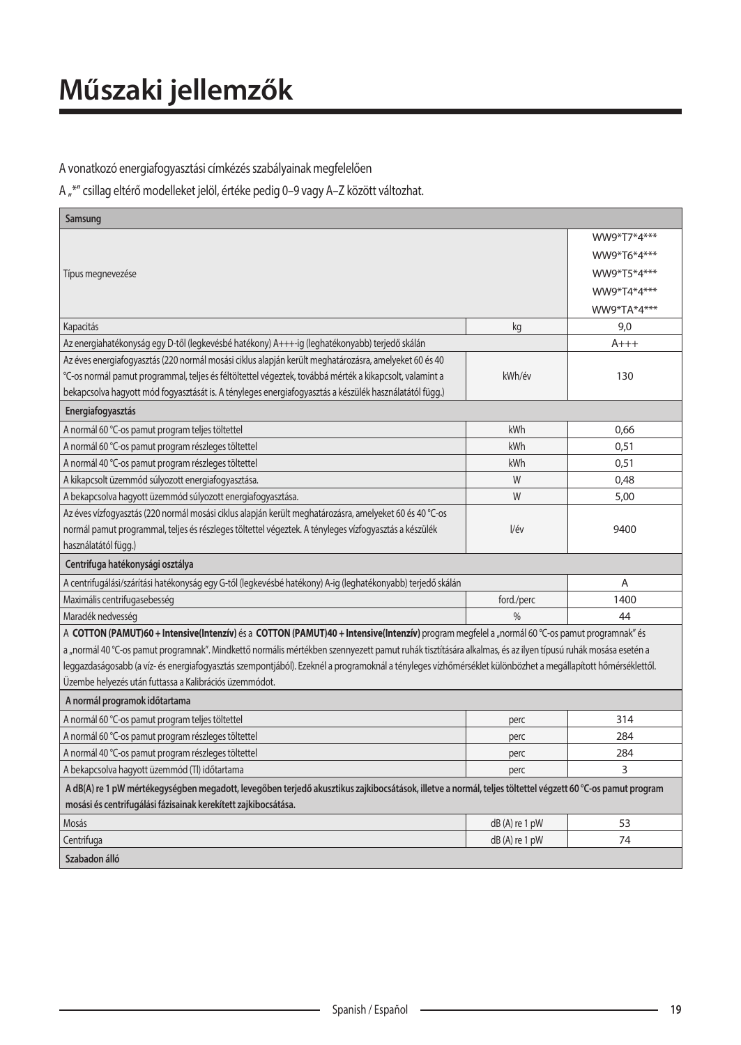A vonatkozó energiafogyasztási címkézés szabályainak megfelelően

A "\*" csillag eltérő modelleket jelöl, értéke pedig 0–9 vagy A–Z között változhat.

| Samsung                                                                                                                                                     |                 |             |
|-------------------------------------------------------------------------------------------------------------------------------------------------------------|-----------------|-------------|
|                                                                                                                                                             |                 | WW9*T7*4*** |
|                                                                                                                                                             |                 | WW9*T6*4*** |
| Típus megnevezése                                                                                                                                           |                 | WW9*T5*4*** |
|                                                                                                                                                             |                 | WW9*T4*4*** |
|                                                                                                                                                             |                 | WW9*TA*4*** |
| Kapacitás                                                                                                                                                   | kg              | 9.0         |
| Az energiahatékonyság egy D-től (legkevésbé hatékony) A+++-ig (leghatékonyabb) terjedő skálán                                                               |                 | A+++        |
| Az éves energiafogyasztás (220 normál mosási ciklus alapján került meghatározásra, amelyeket 60 és 40                                                       |                 |             |
| °C-os normál pamut programmal, teljes és féltöltettel végeztek, továbbá mérték a kikapcsolt, valamint a                                                     | kWh/év          | 130         |
| bekapcsolva hagyott mód fogyasztását is. A tényleges energiafogyasztás a készülék használatától függ.)                                                      |                 |             |
| Energiafogyasztás                                                                                                                                           |                 |             |
| A normál 60 °C-os pamut program teljes töltettel                                                                                                            | kWh             | 0,66        |
| A normál 60 °C-os pamut program részleges töltettel                                                                                                         | kWh             | 0,51        |
| A normál 40 °C-os pamut program részleges töltettel                                                                                                         | kWh             | 0,51        |
| A kikapcsolt üzemmód súlyozott energiafogyasztása.                                                                                                          | W               | 0.48        |
| A bekapcsolva hagyott üzemmód súlyozott energiafogyasztása.                                                                                                 | W               | 5,00        |
| Az éves vízfogyasztás (220 normál mosási ciklus alapján került meghatározásra, amelyeket 60 és 40 °C-os                                                     |                 |             |
| normál pamut programmal, teljes és részleges töltettel végeztek. A tényleges vízfogyasztás a készülék                                                       | l/év            | 9400        |
| használatától függ.)                                                                                                                                        |                 |             |
| Centrifuga hatékonysági osztálya                                                                                                                            |                 |             |
| A centrifugálási/szárítási hatékonyság egy G-től (legkevésbé hatékony) A-ig (leghatékonyabb) terjedő skálán                                                 |                 | A           |
| Maximális centrifugasebesség                                                                                                                                | ford./perc      | 1400        |
| Maradék nedvesség                                                                                                                                           | $\frac{0}{0}$   | 44          |
| A COTTON (PAMUT)60 + Intensive(Intenzív) és a COTTON (PAMUT)40 + Intensive(Intenzív) program megfelel a "normál 60 °C-os pamut programnak" és               |                 |             |
| a "normál 40 °C-os pamut programnak". Mindkettő normális mértékben szennyezett pamut ruhák tisztítására alkalmas, és az ilyen típusú ruhák mosása esetén a  |                 |             |
| leggazdaságosabb (a víz- és energiafogyasztás szempontjából). Ezeknél a programoknál a tényleges vízhőmérséklet különbözhet a megállapított hőmérséklettől. |                 |             |
| Üzembe helyezés után futtassa a Kalibrációs üzemmódot.                                                                                                      |                 |             |
| A normál programok időtartama                                                                                                                               |                 |             |
| A normál 60 °C-os pamut program teljes töltettel                                                                                                            | perc            | 314         |
| A normál 60 °C-os pamut program részleges töltettel                                                                                                         | perc            | 284         |
| A normál 40 °C-os pamut program részleges töltettel                                                                                                         | perc            | 284         |
| A bekapcsolva hagyott üzemmód (Tl) időtartama                                                                                                               | perc            | 3           |
| A dB(A) re 1 pW mértékegységben megadott, levegőben terjedő akusztikus zajkibocsátások, illetve a normál, teljes töltettel végzett 60 °C-os pamut program   |                 |             |
| mosási és centrifugálási fázisainak kerekített zajkibocsátása.                                                                                              |                 |             |
| Mosás                                                                                                                                                       | $dB(A)$ re 1 pW | 53          |
| Centrifuga                                                                                                                                                  | $dB(A)$ re 1 pW | 74          |
| Szabadon álló                                                                                                                                               |                 |             |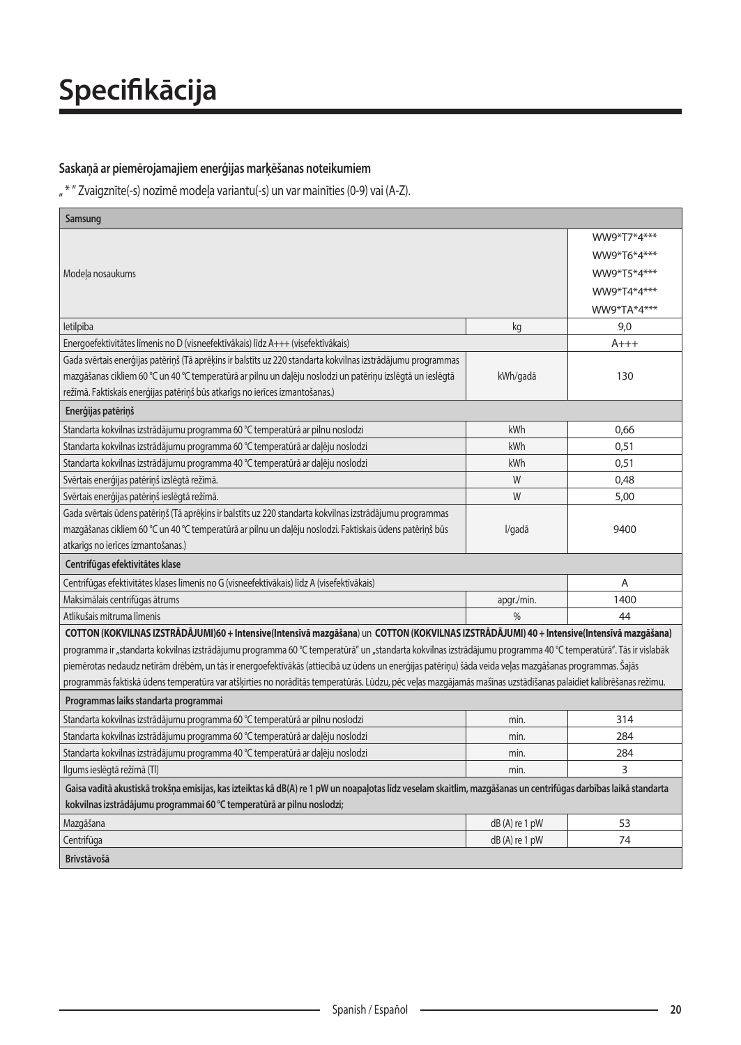### Saskaņā ar piemērojamajiem enerģijas marķēšanas noteikumiem

"\* " Zvaigznīte(-s) nozīmē modeļa variantu(-s) un var mainīties (0-9) vai (A-Z).

| Samsung                                                                                                                                                         |                 |             |
|-----------------------------------------------------------------------------------------------------------------------------------------------------------------|-----------------|-------------|
|                                                                                                                                                                 |                 | WW9*T7*4*** |
|                                                                                                                                                                 |                 | WW9*T6*4*** |
| Modeļa nosaukums                                                                                                                                                |                 | WW9*T5*4*** |
|                                                                                                                                                                 |                 | WW9*T4*4*** |
|                                                                                                                                                                 |                 | WW9*TA*4*** |
| letilpība                                                                                                                                                       | kg              | 9,0         |
| Energoefektivitātes līmenis no D (visneefektīvākais) līdz A+++ (visefektīvākais)                                                                                |                 | A+++        |
| Gada svērtais enerģijas patēriņš (Tā aprēķins ir balstīts uz 220 standarta kokvilnas izstrādājumu programmas                                                    |                 |             |
| mazgāšanas cikliem 60 °C un 40 °C temperatūrā ar pilnu un daļēju noslodzi un patēriņu izslēgtā un ieslēgtā                                                      | kWh/gadā        | 130         |
| režīmā. Faktiskais enerģijas patēriņš būs atkarīgs no ierīces izmantošanas.)                                                                                    |                 |             |
| Enerģijas patēriņš                                                                                                                                              |                 |             |
| Standarta kokvilnas izstrādājumu programma 60 °C temperatūrā ar pilnu noslodzi                                                                                  | kWh             | 0,66        |
| Standarta kokvilnas izstrādājumu programma 60 °C temperatūrā ar daļēju noslodzi                                                                                 | kWh             | 0,51        |
| Standarta kokvilnas izstrādājumu programma 40 °C temperatūrā ar daļēju noslodzi                                                                                 | kWh             | 0,51        |
| Svērtais enerģijas patēriņš izslēgtā režīmā.                                                                                                                    | W               | 0.48        |
| Svērtais enerģijas patēriņš ieslēgtā režīmā.                                                                                                                    | W               | 5,00        |
| Gada svērtais ūdens patēriņš (Tā aprēķins ir balstīts uz 220 standarta kokvilnas izstrādājumu programmas                                                        |                 |             |
| mazgāšanas cikliem 60 °C un 40 °C temperatūrā ar pilnu un daļēju noslodzi. Faktiskais ūdens patēriņš būs                                                        | l/gadā          | 9400        |
| atkarīgs no ierīces izmantošanas.)                                                                                                                              |                 |             |
| Centrifūgas efektivitātes klase                                                                                                                                 |                 |             |
| Centrifūgas efektivitātes klases līmenis no G (visneefektīvākais) līdz A (visefektīvākais)                                                                      |                 | A           |
| Maksimālais centrifūgas ātrums                                                                                                                                  | apgr./min.      | 1400        |
| Atlikušais mitruma līmenis                                                                                                                                      | $\frac{0}{0}$   | 44          |
| COTTON (KOKVILNAS IZSTRĀDĀJUMI)60 + Intensive(Intensīvā mazgāšana) un COTTON (KOKVILNAS IZSTRĀDĀJUMI) 40 + Intensive(Intensīvā mazgāšana)                       |                 |             |
| programma ir "standarta kokvilnas izstrādājumu programma 60 °C temperatūrā" un "standarta kokvilnas izstrādājumu programma 40 °C temperatūrā". Tās ir vislabāk  |                 |             |
| piemērotas nedaudz netīrām drēbēm, un tās ir energoefektīvākās (attiecībā uz ūdens un enerģijas patēriņu) šāda veida veļas mazgāšanas programmas. Šajās         |                 |             |
| programmās faktiskā ūdens temperatūra var atšķirties no norādītās temperatūrās. Lūdzu, pēc veļas mazgājamās mašīnas uzstādīšanas palaidiet kalibrēšanas režīmu. |                 |             |
| Programmas laiks standarta programmai                                                                                                                           |                 |             |
| Standarta kokvilnas izstrādājumu programma 60 °C temperatūrā ar pilnu noslodzi                                                                                  | min.            | 314         |
| Standarta kokvilnas izstrādājumu programma 60 °C temperatūrā ar daļēju noslodzi                                                                                 | min.            | 284         |
| Standarta kokvilnas izstrādājumu programma 40 °C temperatūrā ar daļēju noslodzi                                                                                 | min.            | 284         |
| Ilgums ieslēgtā režīmā (Tl)                                                                                                                                     | min.            | 3           |
| Gaisa vadītā akustiskā trokšņa emisijas, kas izteiktas kā dB(A) re 1 pW un noapaļotas līdz veselam skaitlim, mazgāšanas un centrifūgas darbības laikā standarta |                 |             |
| kokvilnas izstrādājumu programmai 60 °C temperatūrā ar pilnu noslodzi;                                                                                          |                 |             |
| Mazgāšana                                                                                                                                                       | $dB(A)$ re 1 pW | 53          |
| Centrifūga                                                                                                                                                      | $dB(A)$ re 1 pW | 74          |
| <b>Brīvstāvošā</b>                                                                                                                                              |                 |             |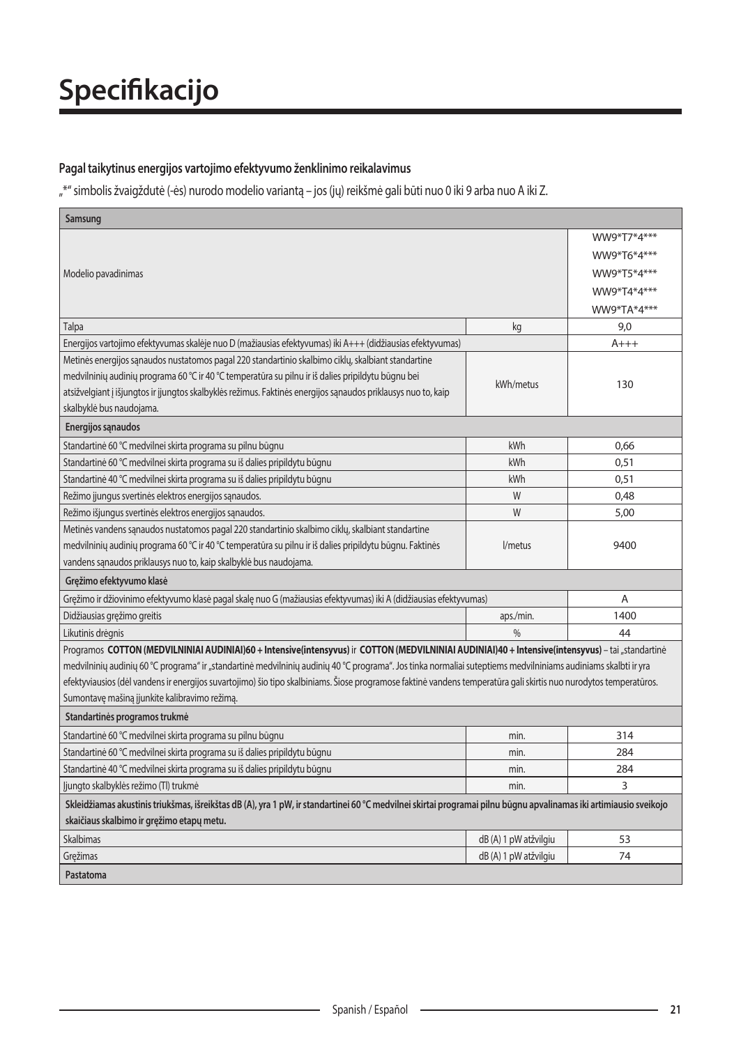### Pagal taikytinus energijos vartojimo efektyvumo ženklinimo reikalavimus

"\*" simbolis žvaigždutė (-ės) nurodo modelio variantą – jos (jų) reikšmė gali būti nuo 0 iki 9 arba nuo A iki Z.

| Samsung                                                                                                                                                           |                       |             |
|-------------------------------------------------------------------------------------------------------------------------------------------------------------------|-----------------------|-------------|
|                                                                                                                                                                   |                       | WW9*T7*4*** |
|                                                                                                                                                                   |                       | WW9*T6*4*** |
| Modelio pavadinimas                                                                                                                                               |                       | WW9*T5*4*** |
|                                                                                                                                                                   |                       | WW9*T4*4*** |
|                                                                                                                                                                   |                       | WW9*TA*4*** |
| Talpa                                                                                                                                                             | kg                    | 9,0         |
| Energijos vartojimo efektyvumas skalėje nuo D (mažiausias efektyvumas) iki A+++ (didžiausias efektyvumas)                                                         |                       | $A+++$      |
| Metinės energijos sąnaudos nustatomos pagal 220 standartinio skalbimo ciklų, skalbiant standartine                                                                |                       |             |
| medvilninių audinių programa 60 °C ir 40 °C temperatūra su pilnu ir iš dalies pripildytu būgnu bei                                                                |                       |             |
| atsižvelgiant į išjungtos ir įjungtos skalbyklės režimus. Faktinės energijos sąnaudos priklausys nuo to, kaip                                                     | kWh/metus             | 130         |
| skalbyklė bus naudojama.                                                                                                                                          |                       |             |
| Energijos sąnaudos                                                                                                                                                |                       |             |
| Standartinė 60 °C medvilnei skirta programa su pilnu būgnu                                                                                                        | kWh                   | 0,66        |
| Standartinė 60 °C medvilnei skirta programa su iš dalies pripildytu būgnu                                                                                         | kWh                   | 0,51        |
| Standartinė 40 °C medvilnei skirta programa su iš dalies pripildytu būgnu                                                                                         | kWh                   | 0,51        |
| Režimo įjungus svertinės elektros energijos sąnaudos.                                                                                                             | W                     | 0,48        |
| Režimo išjungus svertinės elektros energijos sąnaudos.                                                                                                            | W                     | 5,00        |
| Metinės vandens sąnaudos nustatomos pagal 220 standartinio skalbimo ciklų, skalbiant standartine                                                                  |                       |             |
| medvilninių audinių programa 60 °C ir 40 °C temperatūra su pilnu ir iš dalies pripildytu būgnu. Faktinės                                                          | l/metus               | 9400        |
| vandens sąnaudos priklausys nuo to, kaip skalbyklė bus naudojama.                                                                                                 |                       |             |
| Gręžimo efektyvumo klasė                                                                                                                                          |                       |             |
| Gręžimo ir džiovinimo efektyvumo klasė pagal skalę nuo G (mažiausias efektyvumas) iki A (didžiausias efektyvumas)                                                 |                       | A           |
| Didžiausias gręžimo greitis                                                                                                                                       | aps./min.             | 1400        |
| Likutinis drėgnis                                                                                                                                                 | $\frac{0}{0}$         | 44          |
| Programos COTTON (MEDVILNINIAI AUDINIAI)60 + Intensive(intensyvus) ir COTTON (MEDVILNINIAI AUDINIAI)40 + Intensive(intensyvus) - tai "standartinė                 |                       |             |
| medvilninių audinių 60 °C programa" ir "standartinė medvilninių audinių 40 °C programa". Jos tinka normaliai suteptiems medvilniniams audiniams skalbti ir yra    |                       |             |
| efektyviausios (dėl vandens ir energijos suvartojimo) šio tipo skalbiniams. Šiose programose faktinė vandens temperatūra gali skirtis nuo nurodytos temperatūros. |                       |             |
| Sumontavę mašiną įjunkite kalibravimo režimą.                                                                                                                     |                       |             |
| Standartinės programos trukmė                                                                                                                                     |                       |             |
| Standartinė 60 °C medvilnei skirta programa su pilnu būgnu                                                                                                        | min.                  | 314         |
| Standartinė 60 °C medvilnei skirta programa su iš dalies pripildytu būgnu                                                                                         | min.                  | 284         |
| Standartinė 40 °C medvilnei skirta programa su iš dalies pripildytu būgnu                                                                                         | min.                  | 284         |
| Jjungto skalbyklės režimo (Tl) trukmė                                                                                                                             | min.                  | 3           |
| Skleidžiamas akustinis triukšmas, išreikštas dB (A), yra 1 pW, ir standartinei 60 °C medvilnei skirtai programai pilnu būgnu apvalinamas iki artimiausio sveikojo |                       |             |
| skaičiaus skalbimo ir gręžimo etapų metu.                                                                                                                         |                       |             |
| <b>Skalbimas</b>                                                                                                                                                  | dB (A) 1 pW atžvilgiu | 53          |
| Gręžimas                                                                                                                                                          | dB (A) 1 pW atžvilgiu | 74          |
| Pastatoma                                                                                                                                                         |                       |             |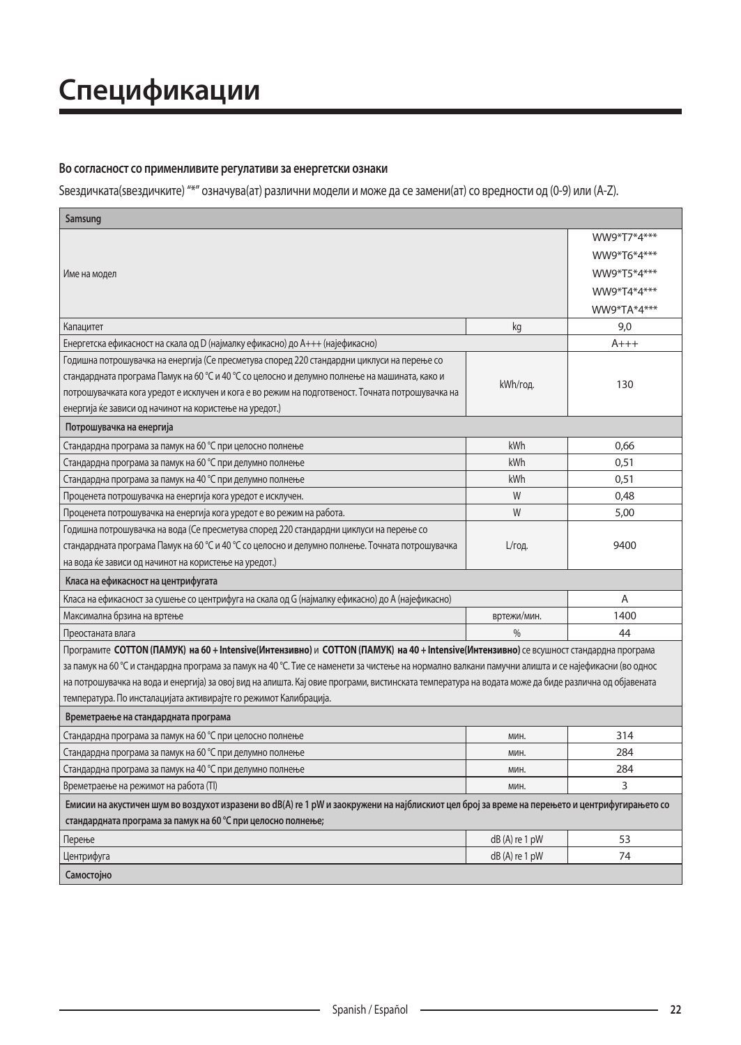# **Спецификации**

#### Во согласност со применливите регулативи за енергетски ознаки

Sвездичката(sвездичките) "\*" означува(ат) различни модели и може да се замени(ат) со вредности од (0-9) или (A-Z).

| Samsung                                                                                                                                             |                 |             |
|-----------------------------------------------------------------------------------------------------------------------------------------------------|-----------------|-------------|
|                                                                                                                                                     |                 | WW9*T7*4*** |
|                                                                                                                                                     |                 | WW9*T6*4*** |
| Име на модел                                                                                                                                        |                 | WW9*T5*4*** |
|                                                                                                                                                     |                 | WW9*T4*4*** |
|                                                                                                                                                     |                 | WW9*TA*4*** |
| Капацитет                                                                                                                                           | kg              | 9,0         |
| Енергетска ефикасност на скала од D (најмалку ефикасно) до A+++ (најефикасно)                                                                       |                 | A+++        |
| Годишна потрошувачка на енергија (Се пресметува според 220 стандардни циклуси на перење со                                                          |                 |             |
| стандардната програма Памук на 60 °С и 40 °С со целосно и делумно полнење на машината, како и                                                       |                 |             |
| потрошувачката кога уредот е исклучен и кога е во режим на подготвеност. Точната потрошувачка на                                                    | kWh/год.        | 130         |
| енергија ќе зависи од начинот на користење на уредот.)                                                                                              |                 |             |
| Потрошувачка на енергија                                                                                                                            |                 |             |
| Стандардна програма за памук на 60 °С при целосно полнење                                                                                           | kWh             | 0,66        |
| Стандардна програма за памук на 60 °С при делумно полнење                                                                                           | kWh             | 0,51        |
| Стандардна програма за памук на 40 °С при делумно полнење                                                                                           | kWh             | 0.51        |
| Проценета потрошувачка на енергија кога уредот е исклучен.                                                                                          | W               | 0,48        |
| Проценета потрошувачка на енергија кога уредот е во режим на работа.                                                                                | W               | 5,00        |
| Годишна потрошувачка на вода (Се пресметува според 220 стандардни циклуси на перење со                                                              |                 |             |
| стандардната програма Памук на 60 °С и 40 °С со целосно и делумно полнење. Точната потрошувачка                                                     | L/год.          | 9400        |
| на вода ќе зависи од начинот на користење на уредот.)                                                                                               |                 |             |
| Класа на ефикасност на центрифугата                                                                                                                 |                 |             |
| Класа на ефикасност за сушење со центрифуга на скала од G (најмалку ефикасно) до A (најефикасно)                                                    |                 | A           |
| Максимална брзина на вртење                                                                                                                         | вртежи/мин.     | 1400        |
| Преостаната влага                                                                                                                                   | $\frac{0}{0}$   | 44          |
| Програмите COTTON (ПАМУК) на 60 + Intensive(Интензивно) и COTTON (ПАМУК) на 40 + Intensive(Интензивно) се всушност стандардна програма              |                 |             |
| за памук на 60 ℃ и стандардна програма за памук на 40 ℃. Тие се наменети за чистење на нормално валкани памучни алишта и се најефикасни (во однос   |                 |             |
| на потрошувачка на вода и енергија) за овој вид на алишта. Кај овие програми, вистинската температура на водата може да биде различна од објавената |                 |             |
| температура. По инсталацијата активирајте го режимот Калибрација.                                                                                   |                 |             |
| Времетраење на стандардната програма                                                                                                                |                 |             |
| Стандардна програма за памук на 60 °С при целосно полнење                                                                                           | МИН.            | 314         |
| Стандардна програма за памук на 60 °С при делумно полнење                                                                                           | МИН.            | 284         |
| Стандардна програма за памук на 40 °С при делумно полнење                                                                                           | МИН.            | 284         |
| Времетраење на режимот на работа (TI)                                                                                                               | МИН.            | 3           |
| Емисии на акустичен шум во воздухот изразени во dB(A) re 1 pW и заокружени на најблискиот цел број за време на перењето и центрифугирањето со       |                 |             |
| стандардната програма за памук на 60 °С при целосно полнење;                                                                                        |                 |             |
| Перење                                                                                                                                              | $dB(A)$ re 1 pW | 53          |
| Центрифуга                                                                                                                                          | $dB(A)$ re 1 pW | 74          |
| Самостоіно                                                                                                                                          |                 |             |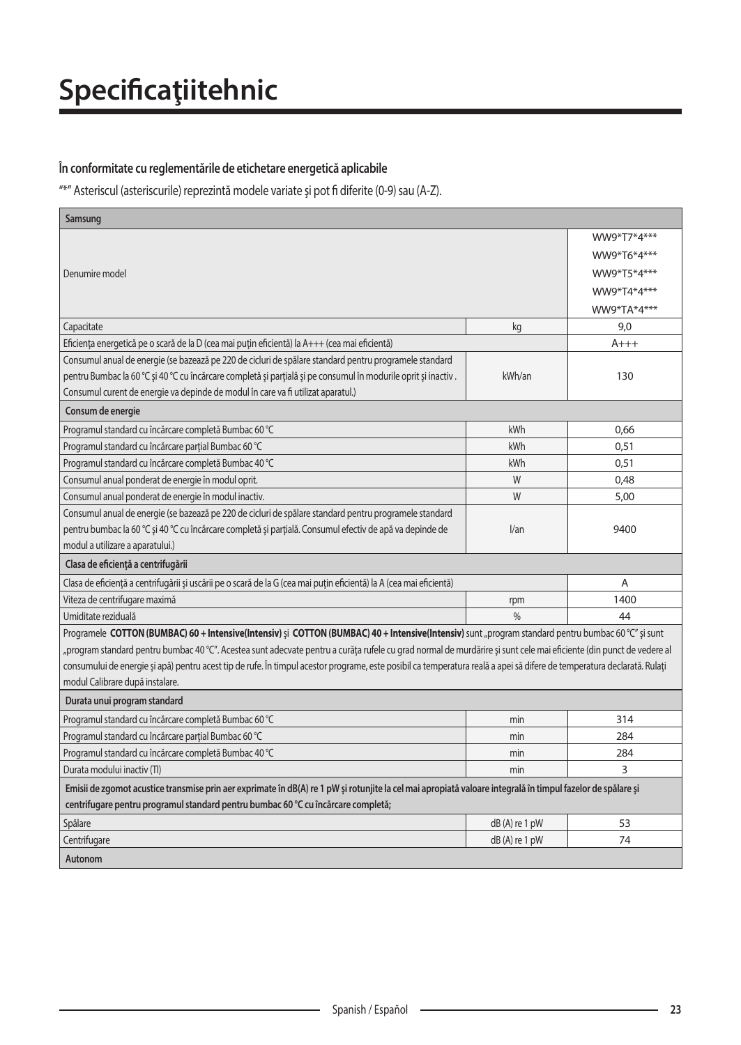# **Specificaţiitehnic**

### În conformitate cu reglementările de etichetare energetică aplicabile

"\*" Asteriscul (asteriscurile) reprezintă modele variate și pot fi diferite (0-9) sau (A-Z).

| Samsung                                                                                                                                                                 |               |             |
|-------------------------------------------------------------------------------------------------------------------------------------------------------------------------|---------------|-------------|
|                                                                                                                                                                         |               | WW9*T7*4*** |
|                                                                                                                                                                         |               | WW9*T6*4*** |
| Denumire model                                                                                                                                                          |               | WW9*T5*4*** |
|                                                                                                                                                                         |               | WW9*T4*4*** |
|                                                                                                                                                                         |               | WW9*TA*4*** |
| Capacitate                                                                                                                                                              | kg            | 9,0         |
| Eficiența energetică pe o scară de la D (cea mai puțin eficientă) la A+++ (cea mai eficientă)                                                                           |               | $A+++$      |
| Consumul anual de energie (se bazează pe 220 de cicluri de spălare standard pentru programele standard                                                                  |               |             |
| pentru Bumbac la 60 °C și 40 °C cu încărcare completă și parțială și pe consumul în modurile oprit și inactiv.                                                          | kWh/an        | 130         |
| Consumul curent de energie va depinde de modul în care va fi utilizat aparatul.)                                                                                        |               |             |
| Consum de energie                                                                                                                                                       |               |             |
| Programul standard cu încărcare completă Bumbac 60 °C                                                                                                                   | kWh           | 0,66        |
| Programul standard cu încărcare parțial Bumbac 60 °C                                                                                                                    | kWh           | 0,51        |
| Programul standard cu încărcare completă Bumbac 40 °C                                                                                                                   | kWh           | 0,51        |
| Consumul anual ponderat de energie în modul oprit.                                                                                                                      | W             | 0,48        |
| Consumul anual ponderat de energie în modul inactiv.                                                                                                                    | W             | 5,00        |
| Consumul anual de energie (se bazează pe 220 de cicluri de spălare standard pentru programele standard                                                                  |               |             |
| pentru bumbac la 60 °C și 40 °C cu încărcare completă și parțială. Consumul efectiv de apă va depinde de                                                                | 1/an          | 9400        |
| modul a utilizare a aparatului.)                                                                                                                                        |               |             |
| Clasa de eficiență a centrifugării                                                                                                                                      |               |             |
| Clasa de eficiență a centrifugării și uscării pe o scară de la G (cea mai puțin eficientă) la A (cea mai eficientă)                                                     |               | A           |
| Viteza de centrifugare maximă                                                                                                                                           | rpm           | 1400        |
| Umiditate reziduală                                                                                                                                                     | $\frac{0}{0}$ | 44          |
| Programele COTTON (BUMBAC) 60 + Intensive(Intensiv) și COTTON (BUMBAC) 40 + Intensive(Intensiv) sunt "program standard pentru bumbac 60 °C" și sunt                     |               |             |
| "program standard pentru bumbac 40 °C". Acestea sunt adecvate pentru a curăța rufele cu grad normal de murdărire și sunt cele mai eficiente (din punct de vedere al     |               |             |
| consumului de energie și apă) pentru acest tip de rufe. În timpul acestor programe, este posibil ca temperatura reală a apei să difere de temperatura declarată. Rulați |               |             |
| modul Calibrare după instalare.                                                                                                                                         |               |             |
| Durata unui program standard                                                                                                                                            |               |             |
| Programul standard cu încărcare completă Bumbac 60 °C                                                                                                                   | min           | 314         |
| Programul standard cu încărcare parțial Bumbac 60 °C                                                                                                                    | min           | 284         |
| Programul standard cu încărcare completă Bumbac 40 °C                                                                                                                   | min           | 284         |
| Durata modului inactiv (Tl)                                                                                                                                             | min           | 3           |
| Emisii de zgomot acustice transmise prin aer exprimate în dB(A) re 1 pW și rotunjite la cel mai apropiată valoare integrală în timpul fazelor de spălare și             |               |             |
| centrifugare pentru programul standard pentru bumbac 60 °C cu încărcare completă;                                                                                       |               |             |
| Spălare                                                                                                                                                                 | dB(A) re 1 pW | 53          |
| Centrifugare                                                                                                                                                            | dB(A) re 1 pW | 74          |
| Autonom                                                                                                                                                                 |               |             |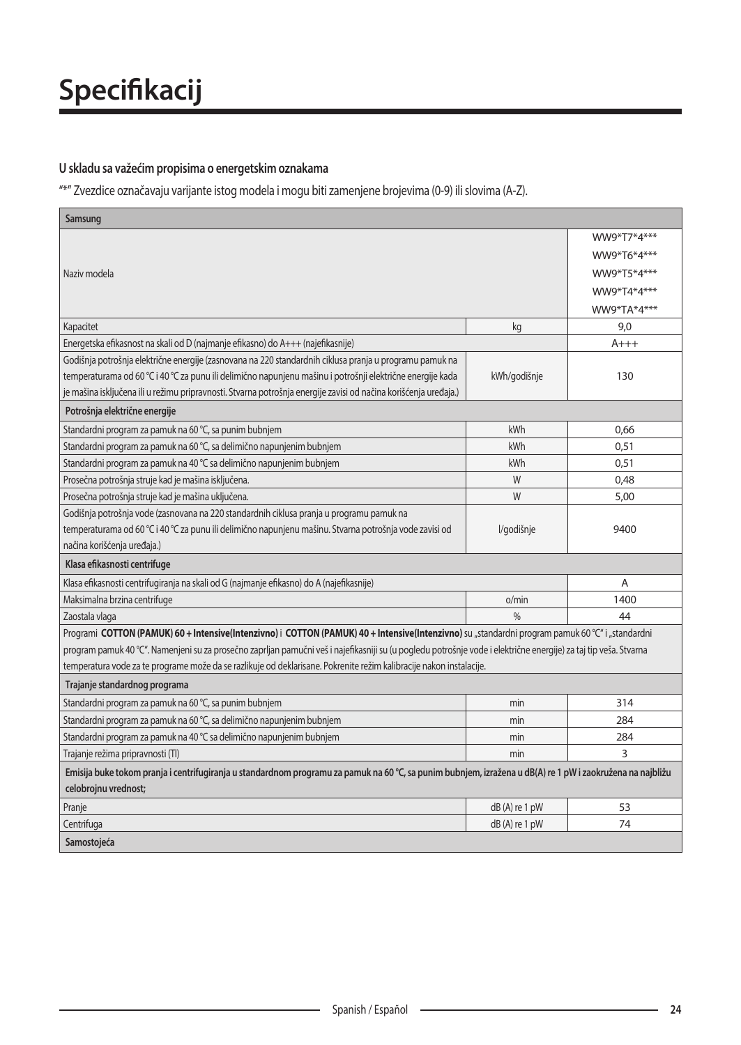### **U skladu sa važećim propisima o energetskim oznakama**

"\*" Zvezdice označavaju varijante istog modela i mogu biti zamenjene brojevima (0-9) ili slovima (A-Z).

| Samsung                                                                                                                                                          |                 |             |
|------------------------------------------------------------------------------------------------------------------------------------------------------------------|-----------------|-------------|
|                                                                                                                                                                  |                 | WW9*T7*4*** |
|                                                                                                                                                                  |                 | WW9*T6*4*** |
| Naziv modela                                                                                                                                                     |                 | WW9*T5*4*** |
|                                                                                                                                                                  |                 | WW9*T4*4*** |
|                                                                                                                                                                  |                 | WW9*TA*4*** |
| Kapacitet                                                                                                                                                        | kg              | 9,0         |
| Energetska efikasnost na skali od D (najmanje efikasno) do A+++ (najefikasnije)                                                                                  |                 | $A+++$      |
| Godišnja potrošnja električne energije (zasnovana na 220 standardnih ciklusa pranja u programu pamuk na                                                          |                 |             |
| temperaturama od 60 °C i 40 °C za punu ili delimično napunjenu mašinu i potrošnji električne energije kada                                                       | kWh/godišnje    | 130         |
| je mašina isključena ili u režimu pripravnosti. Stvarna potrošnja energije zavisi od načina korišćenja uređaja.)                                                 |                 |             |
| Potrošnja električne energije                                                                                                                                    |                 |             |
| Standardni program za pamuk na 60 °C, sa punim bubnjem                                                                                                           | kWh             | 0,66        |
| Standardni program za pamuk na 60 °C, sa delimično napunjenim bubnjem                                                                                            | kWh             | 0,51        |
| Standardni program za pamuk na 40 °C sa delimično napunjenim bubnjem                                                                                             | kWh             | 0,51        |
| Prosečna potrošnja struje kad je mašina isključena.                                                                                                              | W               | 0,48        |
| Prosečna potrošnja struje kad je mašina uključena.                                                                                                               | W               | 5,00        |
| Godišnja potrošnja vode (zasnovana na 220 standardnih ciklusa pranja u programu pamuk na                                                                         |                 |             |
| temperaturama od 60 °C i 40 °C za punu ili delimično napunjenu mašinu. Stvarna potrošnja vode zavisi od                                                          | l/godišnje      | 9400        |
| načina korišćenja uređaja.)                                                                                                                                      |                 |             |
| Klasa efikasnosti centrifuge                                                                                                                                     |                 |             |
| Klasa efikasnosti centrifugiranja na skali od G (najmanje efikasno) do A (najefikasnije)                                                                         |                 | A           |
| Maksimalna brzina centrifuge                                                                                                                                     | o/min           | 1400        |
| Zaostala vlaga                                                                                                                                                   | 0/2             | 44          |
| Programi COTTON (PAMUK) 60 + Intensive(Intenzivno) i COTTON (PAMUK) 40 + Intensive(Intenzivno) su "standardni program pamuk 60 °C" i "standardni                 |                 |             |
| program pamuk 40 °C". Namenjeni su za prosečno zaprljan pamučni veš i najefikasniji su (u pogledu potrošnje vode i električne energije) za taj tip veša. Stvarna |                 |             |
| temperatura vode za te programe može da se razlikuje od deklarisane. Pokrenite režim kalibracije nakon instalacije.                                              |                 |             |
| Trajanje standardnog programa                                                                                                                                    |                 |             |
| Standardni program za pamuk na 60 ℃, sa punim bubnjem                                                                                                            | min             | 314         |
| Standardni program za pamuk na 60 °C, sa delimično napunjenim bubnjem                                                                                            | min             | 284         |
| Standardni program za pamuk na 40 °C sa delimično napunjenim bubnjem                                                                                             | min             | 284         |
| Trajanje režima pripravnosti (TI)                                                                                                                                | min             | 3           |
| Emisija buke tokom pranja i centrifugiranja u standardnom programu za pamuk na 60 °C, sa punim bubnjem, izražena u dB(A) re 1 pW i zaokružena na najbližu        |                 |             |
| celobrojnu vrednost;                                                                                                                                             |                 |             |
| Pranje                                                                                                                                                           | dB(A) re 1 pW   | 53          |
| Centrifuga                                                                                                                                                       | $dB(A)$ re 1 pW | 74          |
| Samostoieća                                                                                                                                                      |                 |             |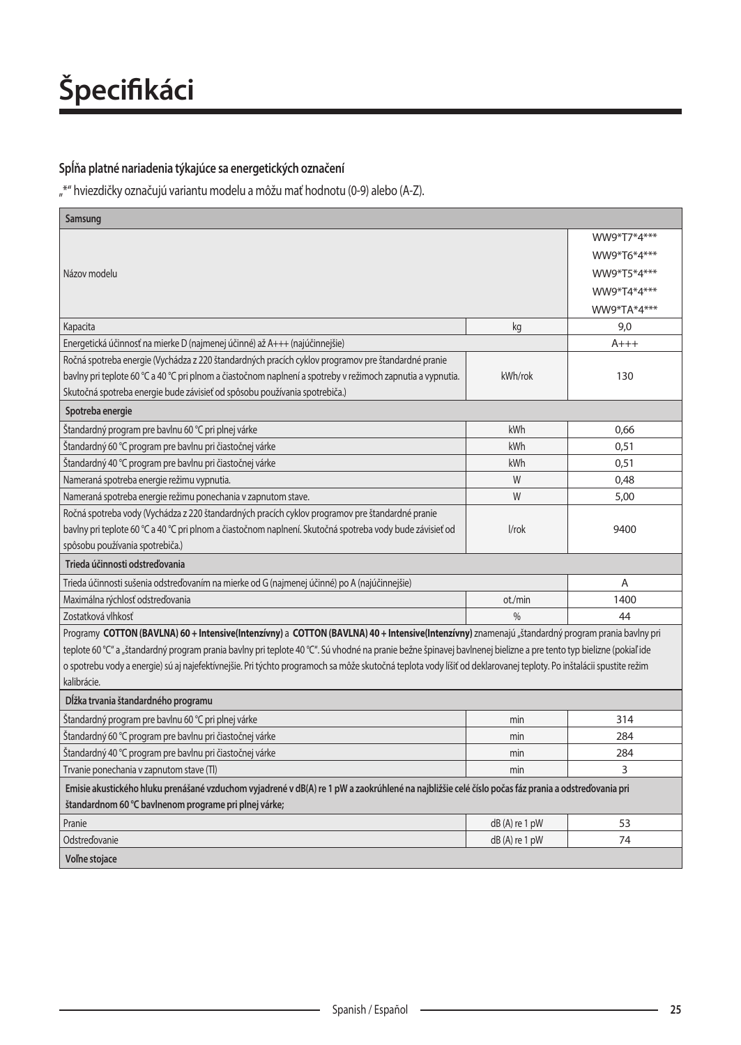### Spĺňa platné nariadenia týkajúce sa energetických označení

"\*" hviezdičky označujú variantu modelu a môžu mať hodnotu (0-9) alebo (A-Z).

| Samsung                                                                                                                                                            |                 |             |  |
|--------------------------------------------------------------------------------------------------------------------------------------------------------------------|-----------------|-------------|--|
|                                                                                                                                                                    |                 | WW9*T7*4*** |  |
|                                                                                                                                                                    |                 | WW9*T6*4*** |  |
| Názov modelu                                                                                                                                                       |                 | WW9*T5*4*** |  |
|                                                                                                                                                                    |                 | WW9*T4*4*** |  |
|                                                                                                                                                                    |                 | WW9*TA*4*** |  |
| Kapacita                                                                                                                                                           | kg              | 9,0         |  |
| Energetická účinnosť na mierke D (najmenej účinné) až A+++ (najúčinnejšie)                                                                                         |                 | $A+++$      |  |
| Ročná spotreba energie (Vychádza z 220 štandardných pracích cyklov programov pre štandardné pranie                                                                 |                 |             |  |
| bavlny pri teplote 60 °C a 40 °C pri plnom a čiastočnom naplnení a spotreby v režimoch zapnutia a vypnutia.                                                        | kWh/rok         | 130         |  |
| Skutočná spotreba energie bude závisieť od spôsobu používania spotrebiča.)                                                                                         |                 |             |  |
| Spotreba energie                                                                                                                                                   |                 |             |  |
| Štandardný program pre bavlnu 60 °C pri plnej várke                                                                                                                | kWh             | 0,66        |  |
| Štandardný 60 °C program pre bavlnu pri čiastočnej várke                                                                                                           | kWh             | 0,51        |  |
| Štandardný 40 °C program pre bavlnu pri čiastočnej várke                                                                                                           | kWh             | 0,51        |  |
| Nameraná spotreba energie režimu vypnutia.                                                                                                                         | W               | 0,48        |  |
| Nameraná spotreba energie režimu ponechania v zapnutom stave.                                                                                                      | W               | 5,00        |  |
| Ročná spotreba vody (Vychádza z 220 štandardných pracích cyklov programov pre štandardné pranie                                                                    |                 |             |  |
| bavlny pri teplote 60 °C a 40 °C pri plnom a čiastočnom naplnení. Skutočná spotreba vody bude závisieť od                                                          | $1$ /rok        | 9400        |  |
| spôsobu používania spotrebiča.)                                                                                                                                    |                 |             |  |
| Trieda účinnosti odstreďovania                                                                                                                                     |                 |             |  |
| Trieda účinnosti sušenia odstreďovaním na mierke od G (najmenej účinné) po A (najúčinnejšie)                                                                       |                 | A           |  |
| Maximálna rýchlosť odstreďovania                                                                                                                                   | ot./min         | 1400        |  |
| Zostatková vlhkosť                                                                                                                                                 | $\frac{0}{0}$   | 44          |  |
| Programy COTTON (BAVLNA) 60 + Intensive(Intenzívny) a COTTON (BAVLNA) 40 + Intensive(Intenzívny) znamenajú "štandardný program prania bavlny pri                   |                 |             |  |
| teplote 60 °C" a "štandardný program prania bavlny pri teplote 40 °C". Sú vhodné na pranie bežne špinavej bavlnenej bielizne a pre tento typ bielizne (pokiaľ ide  |                 |             |  |
| o spotrebu vody a energie) sú aj najefektívnejšie. Pri týchto programoch sa môže skutočná teplota vody líšiť od deklarovanej teploty. Po inštalácii spustite režim |                 |             |  |
| kalibrácie.                                                                                                                                                        |                 |             |  |
| Dĺžka trvania štandardného programu                                                                                                                                |                 |             |  |
| Štandardný program pre bavlnu 60 °C pri plnej várke                                                                                                                | min             | 314         |  |
| Štandardný 60 °C program pre bavlnu pri čiastočnej várke                                                                                                           | min             | 284         |  |
| Štandardný 40 °C program pre bavlnu pri čiastočnej várke                                                                                                           | min             | 284         |  |
| Trvanie ponechania v zapnutom stave (TI)                                                                                                                           | min             | 3           |  |
| Emisie akustického hluku prenášané vzduchom vyjadrené v dB(A) re 1 pW a zaokrúhlené na najbližšie celé číslo počas fáz prania a odstreďovania pri                  |                 |             |  |
| štandardnom 60 °C bavlnenom programe pri plnej várke;                                                                                                              |                 |             |  |
| Pranie                                                                                                                                                             | $dB(A)$ re 1 pW | 53          |  |
| Odstreďovanie                                                                                                                                                      | dB(A) re 1 pW   | 74          |  |
| Voľne stojace                                                                                                                                                      |                 |             |  |